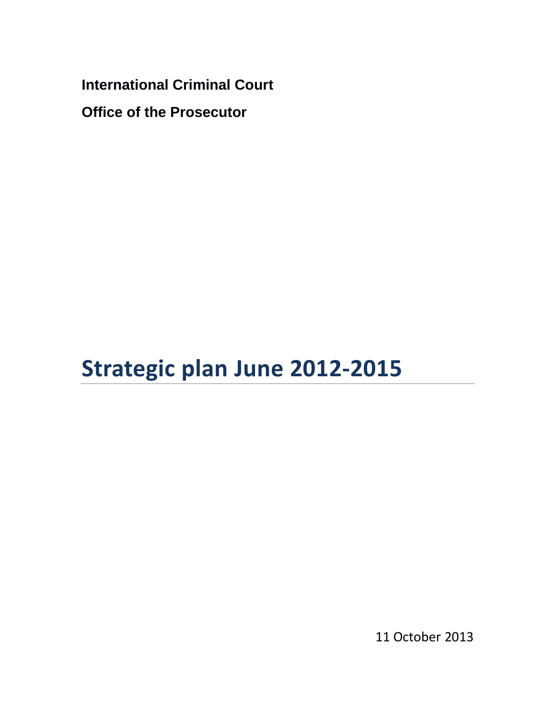**International Criminal Court Office of the Prosecutor**

# **Strategic plan June 2012-2015**

11 October 2013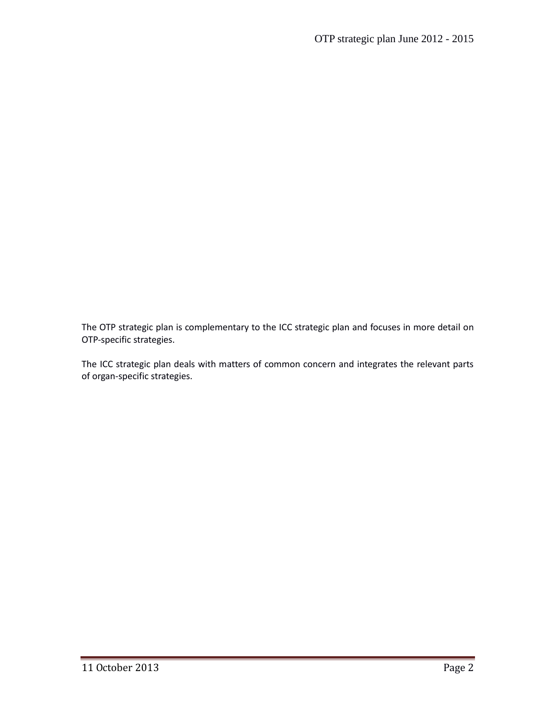The OTP strategic plan is complementary to the ICC strategic plan and focuses in more detail on OTP-specific strategies.

The ICC strategic plan deals with matters of common concern and integrates the relevant parts of organ-specific strategies.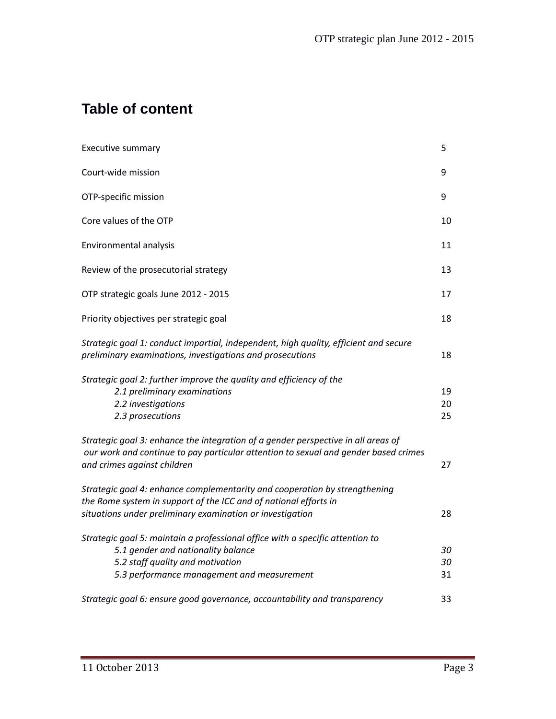# **Table of content**

| Executive summary                                                                                                                                                                                           | 5              |
|-------------------------------------------------------------------------------------------------------------------------------------------------------------------------------------------------------------|----------------|
| Court-wide mission                                                                                                                                                                                          | 9              |
| OTP-specific mission                                                                                                                                                                                        | 9              |
| Core values of the OTP                                                                                                                                                                                      | 10             |
| Environmental analysis                                                                                                                                                                                      | 11             |
| Review of the prosecutorial strategy                                                                                                                                                                        | 13             |
| OTP strategic goals June 2012 - 2015                                                                                                                                                                        | 17             |
| Priority objectives per strategic goal                                                                                                                                                                      | 18             |
| Strategic goal 1: conduct impartial, independent, high quality, efficient and secure<br>preliminary examinations, investigations and prosecutions                                                           | 18             |
| Strategic goal 2: further improve the quality and efficiency of the<br>2.1 preliminary examinations<br>2.2 investigations<br>2.3 prosecutions                                                               | 19<br>20<br>25 |
| Strategic goal 3: enhance the integration of a gender perspective in all areas of<br>our work and continue to pay particular attention to sexual and gender based crimes<br>and crimes against children     | 27             |
| Strategic goal 4: enhance complementarity and cooperation by strengthening<br>the Rome system in support of the ICC and of national efforts in<br>situations under preliminary examination or investigation | 28             |
| Strategic goal 5: maintain a professional office with a specific attention to<br>5.1 gender and nationality balance<br>5.2 staff quality and motivation<br>5.3 performance management and measurement       | 30<br>30<br>31 |
| Strategic goal 6: ensure good governance, accountability and transparency                                                                                                                                   | 33             |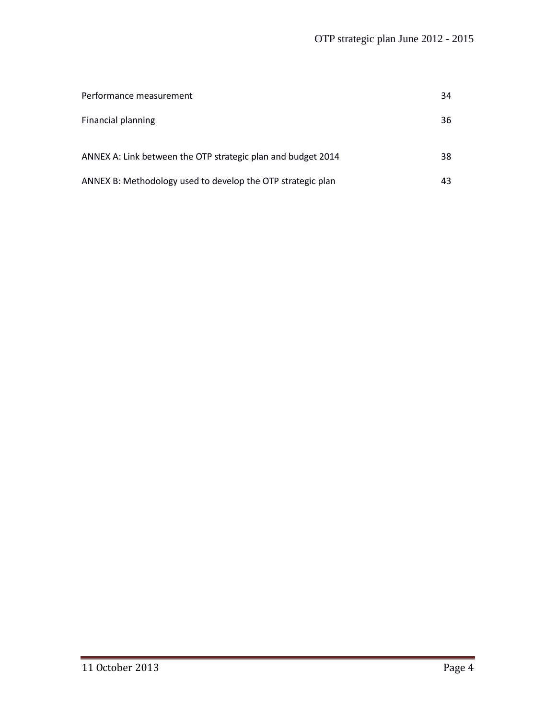| Performance measurement                                      | 34 |
|--------------------------------------------------------------|----|
| <b>Financial planning</b>                                    | 36 |
| ANNEX A: Link between the OTP strategic plan and budget 2014 | 38 |
| ANNEX B: Methodology used to develop the OTP strategic plan  | 43 |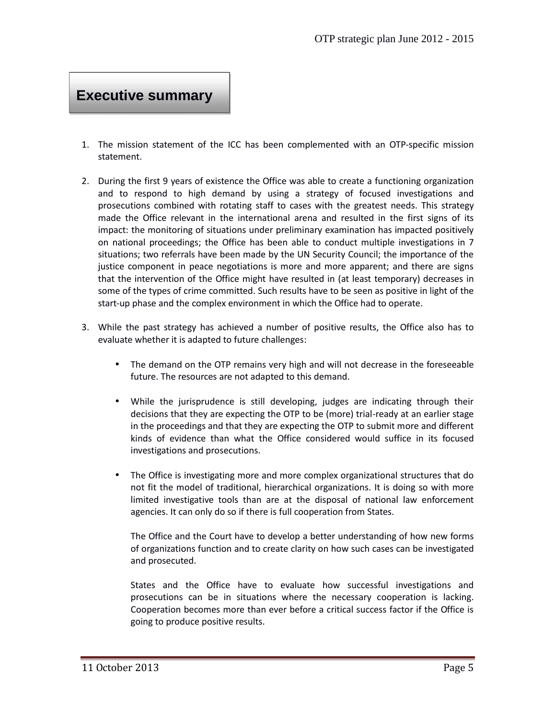# **Executive summary**

- 1. The mission statement of the ICC has been complemented with an OTP-specific mission statement.
- 2. During the first 9 years of existence the Office was able to create a functioning organization and to respond to high demand by using a strategy of focused investigations and prosecutions combined with rotating staff to cases with the greatest needs. This strategy made the Office relevant in the international arena and resulted in the first signs of its impact: the monitoring of situations under preliminary examination has impacted positively on national proceedings; the Office has been able to conduct multiple investigations in 7 situations; two referrals have been made by the UN Security Council; the importance of the justice component in peace negotiations is more and more apparent; and there are signs that the intervention of the Office might have resulted in (at least temporary) decreases in some of the types of crime committed. Such results have to be seen as positive in light of the start-up phase and the complex environment in which the Office had to operate.
- 3. While the past strategy has achieved a number of positive results, the Office also has to evaluate whether it is adapted to future challenges:
	- The demand on the OTP remains very high and will not decrease in the foreseeable future. The resources are not adapted to this demand.
	- While the jurisprudence is still developing, judges are indicating through their decisions that they are expecting the OTP to be (more) trial-ready at an earlier stage in the proceedings and that they are expecting the OTP to submit more and different kinds of evidence than what the Office considered would suffice in its focused investigations and prosecutions.
	- The Office is investigating more and more complex organizational structures that do not fit the model of traditional, hierarchical organizations. It is doing so with more limited investigative tools than are at the disposal of national law enforcement agencies. It can only do so if there is full cooperation from States.

The Office and the Court have to develop a better understanding of how new forms of organizations function and to create clarity on how such cases can be investigated and prosecuted.

States and the Office have to evaluate how successful investigations and prosecutions can be in situations where the necessary cooperation is lacking. Cooperation becomes more than ever before a critical success factor if the Office is going to produce positive results.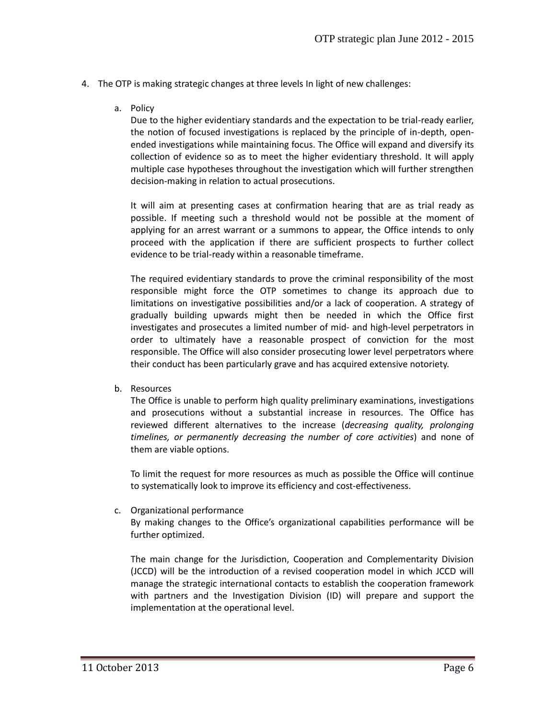- 4. The OTP is making strategic changes at three levels In light of new challenges:
	- a. Policy

Due to the higher evidentiary standards and the expectation to be trial-ready earlier, the notion of focused investigations is replaced by the principle of in-depth, open ended investigations while maintaining focus. The Office will expand and diversify its collection of evidence so as to meet the higher evidentiary threshold. It will apply multiple case hypotheses throughout the investigation which will further strengthen decision-making in relation to actual prosecutions.

It will aim at presenting cases at confirmation hearing that are as trial ready as possible. If meeting such a threshold would not be possible at the moment of applying for an arrest warrant or a summons to appear, the Office intends to only proceed with the application if there are sufficient prospects to further collect evidence to be trial-ready within a reasonable timeframe.

The required evidentiary standards to prove the criminal responsibility of the most responsible might force the OTP sometimes to change its approach due to limitations on investigative possibilities and/or a lack of cooperation. A strategy of gradually building upwards might then be needed in which the Office first investigates and prosecutes a limited number of mid- and high-level perpetrators in order to ultimately have a reasonable prospect of conviction for the most responsible. The Office will also consider prosecuting lower level perpetrators where their conduct has been particularly grave and has acquired extensive notoriety.

b. Resources

The Office is unable to perform high quality preliminary examinations, investigations and prosecutions without a substantial increase in resources. The Office has reviewed different alternatives to the increase (*decreasing quality, prolonging timelines, or permanently decreasing the number of core activities*) and none of them are viable options.

To limit the request for more resources as much as possible the Office will continue to systematically look to improve its efficiency and cost-effectiveness.

c. Organizational performance

By making changes to the Office's organizational capabilities performance will be further optimized.

The main change for the Jurisdiction, Cooperation and Complementarity Division (JCCD) will be the introduction of a revised cooperation model in which JCCD will manage the strategic international contacts to establish the cooperation framework with partners and the Investigation Division (ID) will prepare and support the implementation at the operational level.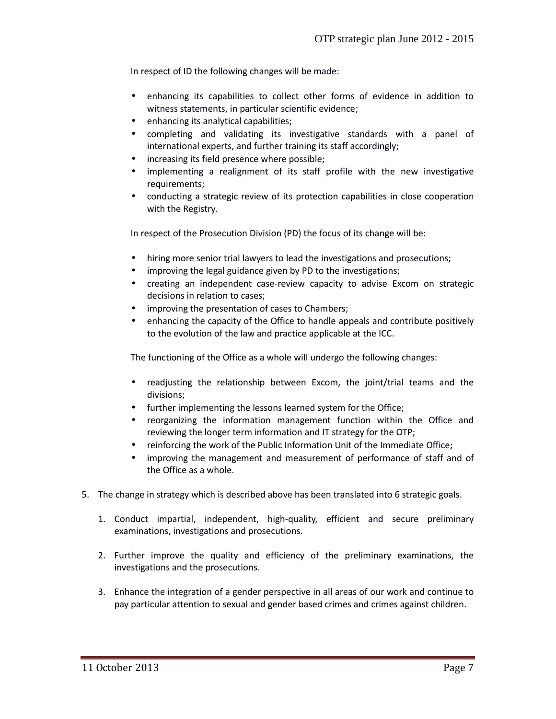In respect of ID the following changes will be made:

- enhancing its capabilities to collect other forms of evidence in addition to witness statements, in particular scientific evidence;
- enhancing its analytical capabilities;
- completing and validating its investigative standards with a panel of international experts, and further training its staff accordingly;
- increasing its field presence where possible;
- implementing a realignment of its staff profile with the new investigative requirements;
- conducting a strategic review of its protection capabilities in close cooperation with the Registry.

In respect of the Prosecution Division (PD) the focus of its change will be:

- hiring more senior trial lawyers to lead the investigations and prosecutions;
- improving the legal guidance given by PD to the investigations;
- creating an independent case-review capacity to advise Excom on strategic decisions in relation to cases;
- improving the presentation of cases to Chambers;
- enhancing the capacity of the Office to handle appeals and contribute positively to the evolution of the law and practice applicable at the ICC.

The functioning of the Office as a whole will undergo the following changes:

- readjusting the relationship between Excom, the joint/trial teams and the divisions;
- further implementing the lessons learned system for the Office;
- reorganizing the information management function within the Office and reviewing the longer term information and IT strategy for the OTP;
- reinforcing the work of the Public Information Unit of the Immediate Office;
- improving the management and measurement of performance of staff and of the Office as a whole.
- 5. The change in strategy which is described above has been translated into 6 strategic goals.
	- 1. Conduct impartial, independent, high-quality, efficient and secure preliminary examinations, investigations and prosecutions.
	- 2. Further improve the quality and efficiency of the preliminary examinations, the investigations and the prosecutions.
	- 3. Enhance the integration of a gender perspective in all areas of our work and continue to pay particular attention to sexual and gender based crimes and crimes against children.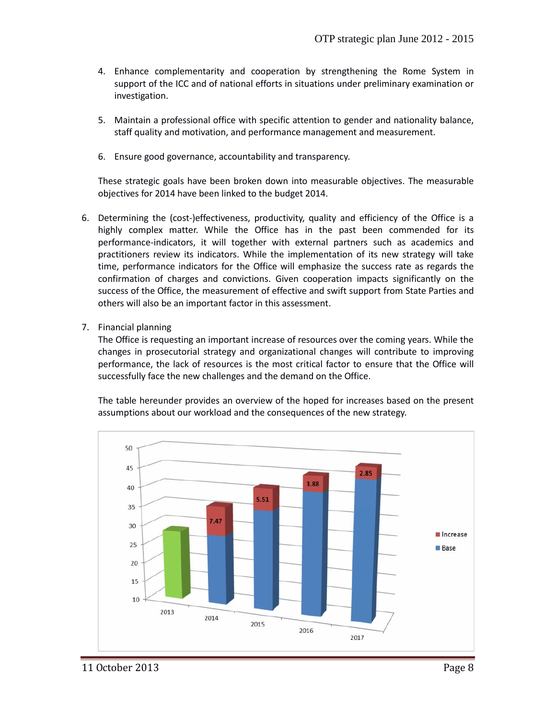- 4. Enhance complementarity and cooperation by strengthening the Rome System in support of the ICC and of national efforts in situations under preliminary examination or investigation.
- 5. Maintain a professional office with specific attention to gender and nationality balance, staff quality and motivation, and performance management and measurement.
- 6. Ensure good governance, accountability and transparency.

These strategic goals have been broken down into measurable objectives. The measurable objectives for 2014 have been linked to the budget 2014.

- 6. Determining the (cost-)effectiveness, productivity, quality and efficiency of the Office is a highly complex matter. While the Office has in the past been commended for its performance-indicators, it will together with external partners such as academics and practitioners review its indicators. While the implementation of its new strategy will take time, performance indicators for the Office will emphasize the success rate as regards the confirmation of charges and convictions. Given cooperation impacts significantly on the success of the Office, the measurement of effective and swift support from State Parties and others will also be an important factor in this assessment.
- 7. Financial planning

The Office is requesting an important increase of resources over the coming years. While the changes in prosecutorial strategy and organizational changes will contribute to improving performance, the lack of resources is the most critical factor to ensure that the Office will successfully face the new challenges and the demand on the Office.

The table hereunder provides an overview of the hoped for increases based on the present assumptions about our workload and the consequences of the new strategy.

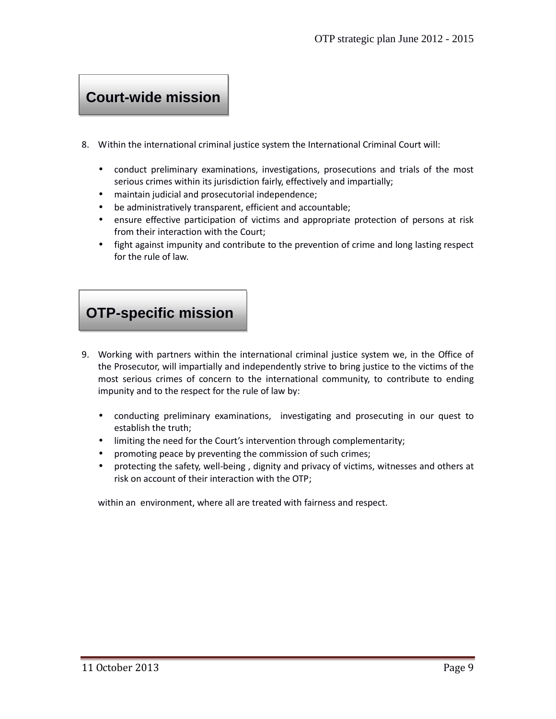# **Court-wide mission**

- 8. Within the international criminal justice system the International Criminal Court will:
	- conduct preliminary examinations, investigations, prosecutions and trials of the most serious crimes within its jurisdiction fairly, effectively and impartially;
	- maintain judicial and prosecutorial independence;
	- be administratively transparent, efficient and accountable;
	- ensure effective participation of victims and appropriate protection of persons at risk from their interaction with the Court;
	- fight against impunity and contribute to the prevention of crime and long lasting respect for the rule of law.

# **OTP-specific mission**

- 9. Working with partners within the international criminal justice system we, in the Office of the Prosecutor, will impartially and independently strive to bring justice to the victims of the most serious crimes of concern to the international community, to contribute to ending impunity and to the respect for the rule of law by:
	- conducting preliminary examinations, investigating and prosecuting in our quest to establish the truth;
	- limiting the need for the Court's intervention through complementarity;
	- promoting peace by preventing the commission of such crimes;
	- protecting the safety, well-being , dignity and privacy of victims, witnesses and others at risk on account of their interaction with the OTP;

within an environment, where all are treated with fairness and respect.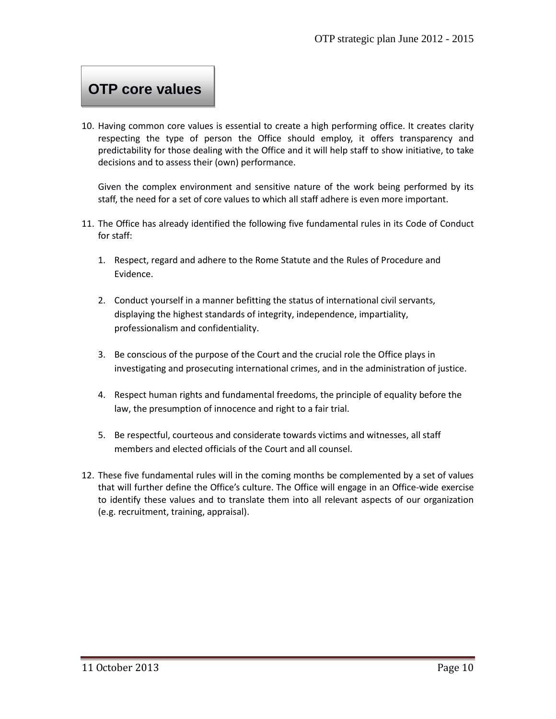# **OTP core values**

10. Having common core values is essential to create a high performing office. It creates clarity respecting the type of person the Office should employ, it offers transparency and predictability for those dealing with the Office and it will help staff to show initiative, to take decisions and to assess their (own) performance.

Given the complex environment and sensitive nature of the work being performed by its staff, the need for a set of core values to which all staff adhere is even more important.

- 11. The Office has already identified the following five fundamental rules in its Code of Conduct for staff:
	- 1. Respect, regard and adhere to the Rome Statute and the Rules of Procedure and Evidence.
	- 2. Conduct yourself in a manner befitting the status of international civil servants, displaying the highest standards of integrity, independence, impartiality, professionalism and confidentiality.
	- 3. Be conscious of the purpose of the Court and the crucial role the Office plays in investigating and prosecuting international crimes, and in the administration of justice.
	- 4. Respect human rights and fundamental freedoms, the principle of equality before the law, the presumption of innocence and right to a fair trial.
	- 5. Be respectful, courteous and considerate towards victims and witnesses, all staff members and elected officials of the Court and all counsel.
- 12. These five fundamental rules will in the coming months be complemented by a set of values that will further define the Office's culture. The Office will engage in an Office-wide exercise to identify these values and to translate them into all relevant aspects of our organization (e.g. recruitment, training, appraisal).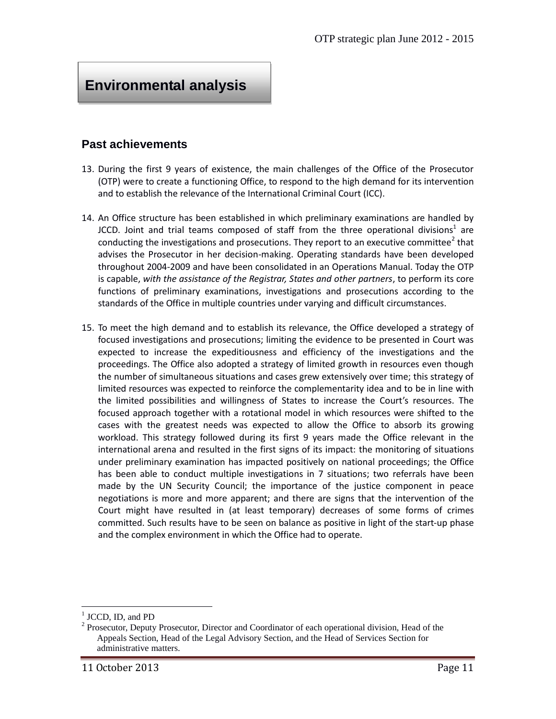# **Environmental analysis**

### **Past achievements**

- 13. During the first 9 years of existence, the main challenges of the Office of the Prosecutor (OTP) were to create a functioning Office, to respond to the high demand for its intervention and to establish the relevance of the International Criminal Court (ICC).
- 14. An Office structure has been established in which preliminary examinations are handled by JCCD. Joint and trial teams composed of staff from the three operational divisions<sup>1</sup> are conducting the investigations and prosecutions. They report to an executive committee<sup>2</sup> that advises the Prosecutor in her decision-making. Operating standards have been developed throughout 2004-2009 and have been consolidated in an Operations Manual. Today the OTP is capable, *with the assistance of the Registrar, States and other partners*, to perform its core functions of preliminary examinations, investigations and prosecutions according to the standards of the Office in multiple countries under varying and difficult circumstances.
- 15. To meet the high demand and to establish its relevance, the Office developed a strategy of focused investigations and prosecutions; limiting the evidence to be presented in Court was expected to increase the expeditiousness and efficiency of the investigations and the proceedings. The Office also adopted a strategy of limited growth in resources even though the number of simultaneous situations and cases grew extensively over time; this strategy of limited resources was expected to reinforce the complementarity idea and to be in line with the limited possibilities and willingness of States to increase the Court's resources. The focused approach together with a rotational model in which resources were shifted to the cases with the greatest needs was expected to allow the Office to absorb its growing workload. This strategy followed during its first 9 years made the Office relevant in the international arena and resulted in the first signs of its impact: the monitoring of situations under preliminary examination has impacted positively on national proceedings; the Office has been able to conduct multiple investigations in 7 situations; two referrals have been made by the UN Security Council; the importance of the justice component in peace negotiations is more and more apparent; and there are signs that the intervention of the Court might have resulted in (at least temporary) decreases of some forms of crimes committed. Such results have to be seen on balance as positive in light of the start-up phase and the complex environment in which the Office had to operate.

 $<sup>1</sup>$  JCCD, ID, and PD</sup>

<sup>&</sup>lt;sup>2</sup> Prosecutor, Deputy Prosecutor, Director and Coordinator of each operational division, Head of the Appeals Section, Head of the Legal Advisory Section, and the Head of Services Section for administrative matters.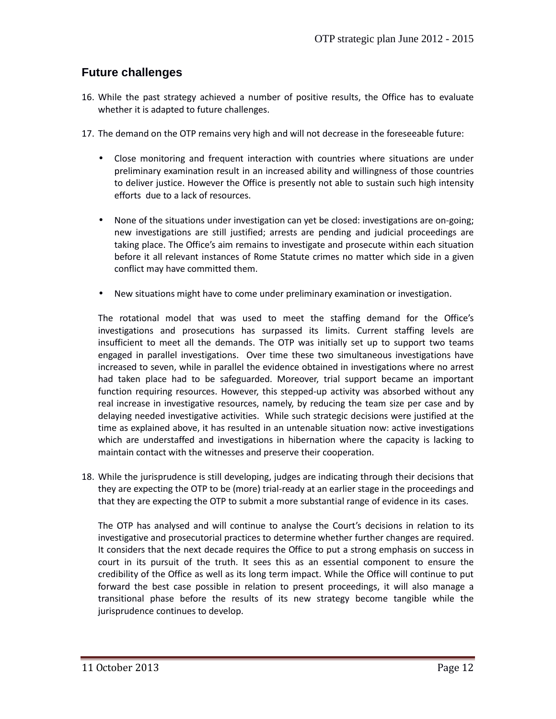### **Future challenges**

- 16. While the past strategy achieved a number of positive results, the Office has to evaluate whether it is adapted to future challenges.
- 17. The demand on the OTP remains very high and will not decrease in the foreseeable future:
	- Close monitoring and frequent interaction with countries where situations are under preliminary examination result in an increased ability and willingness of those countries to deliver justice. However the Office is presently not able to sustain such high intensity efforts due to a lack of resources.
	- None of the situations under investigation can yet be closed: investigations are on-going; new investigations are still justified; arrests are pending and judicial proceedings are taking place. The Office's aim remains to investigate and prosecute within each situation before it all relevant instances of Rome Statute crimes no matter which side in a given conflict may have committed them.
	- New situations might have to come under preliminary examination or investigation.

The rotational model that was used to meet the staffing demand for the Office's investigations and prosecutions has surpassed its limits. Current staffing levels are insufficient to meet all the demands. The OTP was initially set up to support two teams engaged in parallel investigations. Over time these two simultaneous investigations have increased to seven, while in parallel the evidence obtained in investigations where no arrest had taken place had to be safeguarded. Moreover, trial support became an important function requiring resources. However, this stepped-up activity was absorbed without any real increase in investigative resources, namely, by reducing the team size per case and by delaying needed investigative activities. While such strategic decisions were justified at the time as explained above, it has resulted in an untenable situation now: active investigations which are understaffed and investigations in hibernation where the capacity is lacking to maintain contact with the witnesses and preserve their cooperation.

18. While the jurisprudence is still developing, judges are indicating through their decisions that they are expecting the OTP to be (more) trial-ready at an earlier stage in the proceedings and that they are expecting the OTP to submit a more substantial range of evidence in its cases.

The OTP has analysed and will continue to analyse the Court's decisions in relation to its investigative and prosecutorial practices to determine whether further changes are required. It considers that the next decade requires the Office to put a strong emphasis on success in court in its pursuit of the truth. It sees this as an essential component to ensure the credibility of the Office as well as its long term impact. While the Office will continue to put forward the best case possible in relation to present proceedings, it will also manage a transitional phase before the results of its new strategy become tangible while the jurisprudence continues to develop.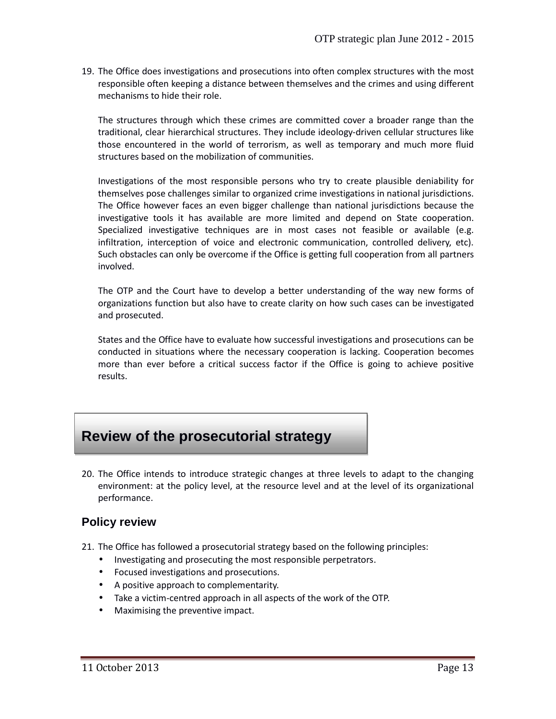19. The Office does investigations and prosecutions into often complex structures with the most responsible often keeping a distance between themselves and the crimes and using different mechanisms to hide their role.

The structures through which these crimes are committed cover a broader range than the traditional, clear hierarchical structures. They include ideology-driven cellular structures like those encountered in the world of terrorism, as well as temporary and much more fluid structures based on the mobilization of communities.

Investigations of the most responsible persons who try to create plausible deniability for themselves pose challenges similar to organized crime investigations in national jurisdictions. The Office however faces an even bigger challenge than national jurisdictions because the investigative tools it has available are more limited and depend on State cooperation. Specialized investigative techniques are in most cases not feasible or available (e.g. infiltration, interception of voice and electronic communication, controlled delivery, etc). Such obstacles can only be overcome if the Office is getting full cooperation from all partners involved.

The OTP and the Court have to develop a better understanding of the way new forms of organizations function but also have to create clarity on how such cases can be investigated and prosecuted.

States and the Office have to evaluate how successful investigations and prosecutions can be conducted in situations where the necessary cooperation is lacking. Cooperation becomes more than ever before a critical success factor if the Office is going to achieve positive results.

# **Review of the prosecutorial strategy**

20. The Office intends to introduce strategic changes at three levels to adapt to the changing environment: at the policy level, at the resource level and at the level of its organizational performance.

### **Policy review**

- 21. The Office has followed a prosecutorial strategy based on the following principles:
	- Investigating and prosecuting the most responsible perpetrators.
	- Focused investigations and prosecutions.
	- A positive approach to complementarity.
	- Take a victim-centred approach in all aspects of the work of the OTP.
	- Maximising the preventive impact.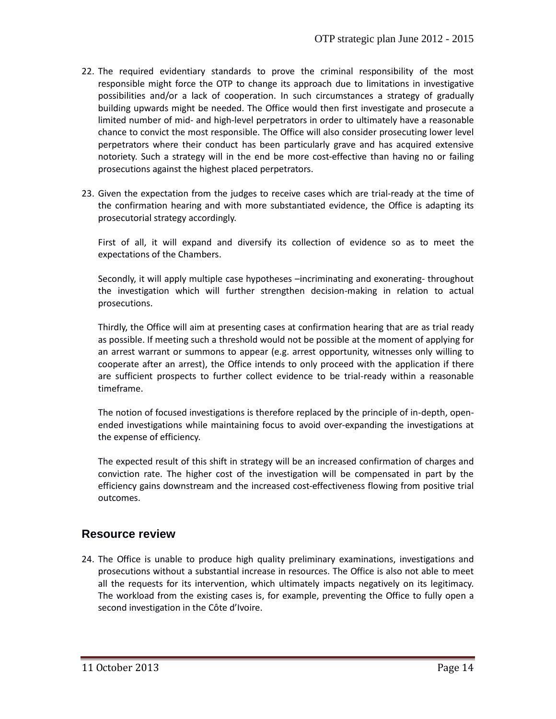- 22. The required evidentiary standards to prove the criminal responsibility of the most responsible might force the OTP to change its approach due to limitations in investigative possibilities and/or a lack of cooperation. In such circumstances a strategy of gradually building upwards might be needed. The Office would then first investigate and prosecute a limited number of mid- and high-level perpetrators in order to ultimately have a reasonable chance to convict the most responsible. The Office will also consider prosecuting lower level perpetrators where their conduct has been particularly grave and has acquired extensive notoriety. Such a strategy will in the end be more cost-effective than having no or failing prosecutions against the highest placed perpetrators.
- 23. Given the expectation from the judges to receive cases which are trial-ready at the time of the confirmation hearing and with more substantiated evidence, the Office is adapting its prosecutorial strategy accordingly.

First of all, it will expand and diversify its collection of evidence so as to meet the expectations of the Chambers.

Secondly, it will apply multiple case hypotheses –incriminating and exonerating- throughout the investigation which will further strengthen decision-making in relation to actual prosecutions.

Thirdly, the Office will aim at presenting cases at confirmation hearing that are as trial ready as possible. If meeting such a threshold would not be possible at the moment of applying for an arrest warrant or summons to appear (e.g. arrest opportunity, witnesses only willing to cooperate after an arrest), the Office intends to only proceed with the application if there are sufficient prospects to further collect evidence to be trial-ready within a reasonable timeframe.

The notion of focused investigations is therefore replaced by the principle of in-depth, open ended investigations while maintaining focus to avoid over-expanding the investigations at the expense of efficiency.

The expected result of this shift in strategy will be an increased confirmation of charges and conviction rate. The higher cost of the investigation will be compensated in part by the efficiency gains downstream and the increased cost-effectiveness flowing from positive trial outcomes.

### **Resource review**

24. The Office is unable to produce high quality preliminary examinations, investigations and prosecutions without a substantial increase in resources. The Office is also not able to meet all the requests for its intervention, which ultimately impacts negatively on its legitimacy. The workload from the existing cases is, for example, preventing the Office to fully open a second investigation in the Côte d'Ivoire.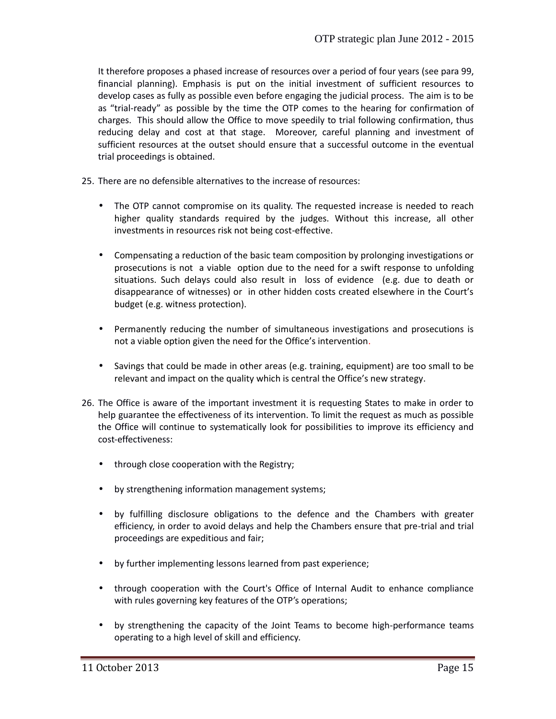It therefore proposes a phased increase of resources over a period of four years (see para 99, financial planning). Emphasis is put on the initial investment of sufficient resources to develop cases as fully as possible even before engaging the judicial process. The aim is to be as "trial-ready" as possible by the time the OTP comes to the hearing for confirmation of charges. This should allow the Office to move speedily to trial following confirmation, thus reducing delay and cost at that stage. Moreover, careful planning and investment of sufficient resources at the outset should ensure that a successful outcome in the eventual trial proceedings is obtained.

- 25. There are no defensible alternatives to the increase of resources:
	- The OTP cannot compromise on its quality. The requested increase is needed to reach higher quality standards required by the judges. Without this increase, all other investments in resources risk not being cost-effective.
	- Compensating a reduction of the basic team composition by prolonging investigations or prosecutions is not a viable option due to the need for a swift response to unfolding situations. Such delays could also result in loss of evidence (e.g. due to death or disappearance of witnesses) or in other hidden costs created elsewhere in the Court's budget (e.g. witness protection).
	- Permanently reducing the number of simultaneous investigations and prosecutions is not a viable option given the need for the Office's intervention.
	- Savings that could be made in other areas (e.g. training, equipment) are too small to be relevant and impact on the quality which is central the Office's new strategy.
- 26. The Office is aware of the important investment it is requesting States to make in order to help guarantee the effectiveness of its intervention. To limit the request as much as possible the Office will continue to systematically look for possibilities to improve its efficiency and cost-effectiveness:
	- through close cooperation with the Registry;
	- by strengthening information management systems;
	- by fulfilling disclosure obligations to the defence and the Chambers with greater efficiency, in order to avoid delays and help the Chambers ensure that pre-trial and trial proceedings are expeditious and fair;
	- by further implementing lessons learned from past experience;
	- through cooperation with the Court's Office of Internal Audit to enhance compliance with rules governing key features of the OTP's operations;
	- by strengthening the capacity of the Joint Teams to become high-performance teams operating to a high level of skill and efficiency.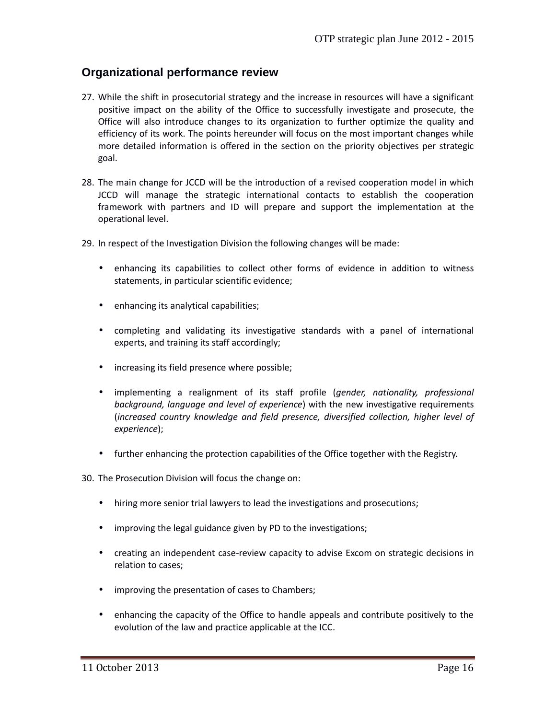### **Organizational performance review**

- 27. While the shift in prosecutorial strategy and the increase in resources will have a significant positive impact on the ability of the Office to successfully investigate and prosecute, the Office will also introduce changes to its organization to further optimize the quality and efficiency of its work. The points hereunder will focus on the most important changes while more detailed information is offered in the section on the priority objectives per strategic goal.
- 28. The main change for JCCD will be the introduction of a revised cooperation model in which JCCD will manage the strategic international contacts to establish the cooperation framework with partners and ID will prepare and support the implementation at the operational level.
- 29. In respect of the Investigation Division the following changes will be made:
	- enhancing its capabilities to collect other forms of evidence in addition to witness statements, in particular scientific evidence;
	- enhancing its analytical capabilities;
	- completing and validating its investigative standards with a panel of international experts, and training its staff accordingly;
	- increasing its field presence where possible;
	- implementing a realignment of its staff profile (*gender, nationality, professional background, language and level of experience*) with the new investigative requirements (*increased country knowledge and field presence, diversified collection, higher level of experience*);
	- further enhancing the protection capabilities of the Office together with the Registry.

30. The Prosecution Division will focus the change on:

- hiring more senior trial lawyers to lead the investigations and prosecutions;
- improving the legal guidance given by PD to the investigations;
- creating an independent case-review capacity to advise Excom on strategic decisions in relation to cases;
- improving the presentation of cases to Chambers;
- enhancing the capacity of the Office to handle appeals and contribute positively to the evolution of the law and practice applicable at the ICC.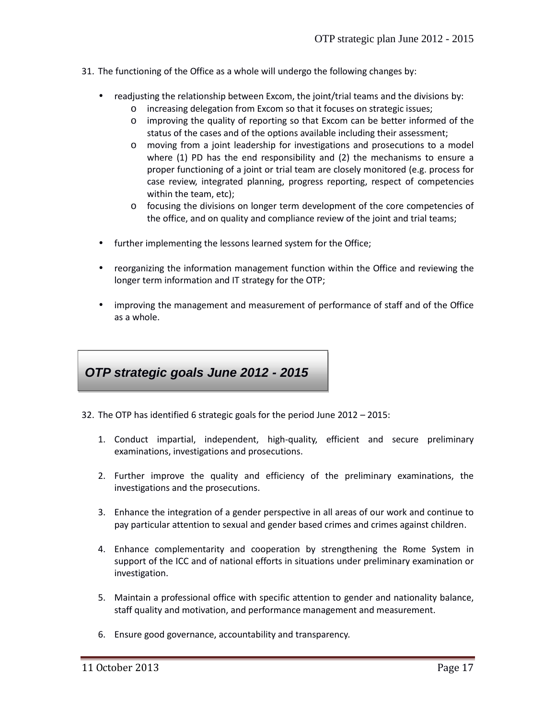- 31. The functioning of the Office as a whole will undergo the following changes by:
	- readjusting the relationship between Excom, the joint/trial teams and the divisions by:
		- o increasing delegation from Excom so that it focuses on strategic issues;
		- o improving the quality of reporting so that Excom can be better informed of the status of the cases and of the options available including their assessment;
		- o moving from a joint leadership for investigations and prosecutions to a model where (1) PD has the end responsibility and (2) the mechanisms to ensure a proper functioning of a joint or trial team are closely monitored (e.g. process for case review, integrated planning, progress reporting, respect of competencies within the team, etc);
		- o focusing the divisions on longer term development of the core competencies of the office, and on quality and compliance review of the joint and trial teams;
	- further implementing the lessons learned system for the Office;
	- reorganizing the information management function within the Office and reviewing the longer term information and IT strategy for the OTP;
	- improving the management and measurement of performance of staff and of the Office as a whole.

# *OTP strategic goals June 2012 - 2015*

- 32. The OTP has identified 6 strategic goals for the period June 2012 2015:
	- 1. Conduct impartial, independent, high-quality, efficient and secure preliminary examinations, investigations and prosecutions.
	- 2. Further improve the quality and efficiency of the preliminary examinations, the investigations and the prosecutions.
	- 3. Enhance the integration of a gender perspective in all areas of our work and continue to pay particular attention to sexual and gender based crimes and crimes against children.
	- 4. Enhance complementarity and cooperation by strengthening the Rome System in support of the ICC and of national efforts in situations under preliminary examination or investigation.
	- 5. Maintain a professional office with specific attention to gender and nationality balance, staff quality and motivation, and performance management and measurement.
	- 6. Ensure good governance, accountability and transparency.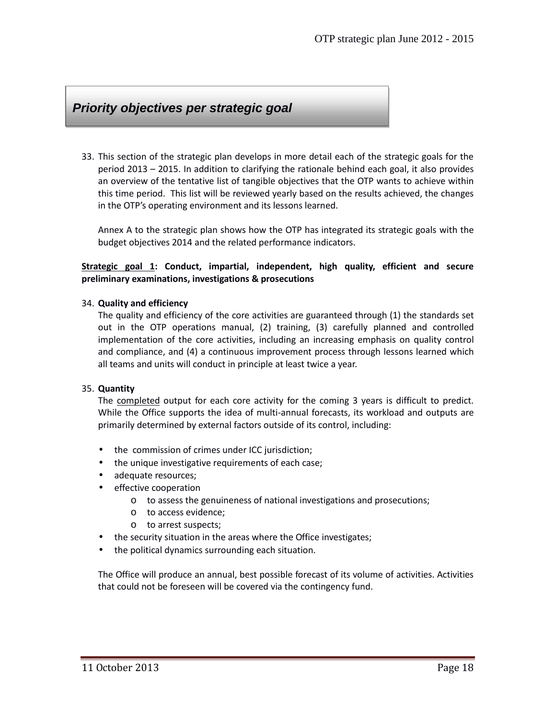# *Priority objectives per strategic goal*

33. This section of the strategic plan develops in more detail each of the strategic goals for the period 2013 – 2015. In addition to clarifying the rationale behind each goal, it also provides an overview of the tentative list of tangible objectives that the OTP wants to achieve within this time period. This list will be reviewed yearly based on the results achieved, the changes in the OTP's operating environment and its lessons learned.

Annex A to the strategic plan shows how the OTP has integrated its strategic goals with the budget objectives 2014 and the related performance indicators.

#### **Strategic goal 1: Conduct, impartial, independent, high quality, efficient and secure preliminary examinations, investigations & prosecutions**

#### 34. **Quality and efficiency**

The quality and efficiency of the core activities are guaranteed through (1) the standards set out in the OTP operations manual, (2) training, (3) carefully planned and controlled implementation of the core activities, including an increasing emphasis on quality control and compliance, and (4) a continuous improvement process through lessons learned which all teams and units will conduct in principle at least twice a year.

#### 35. **Quantity**

The completed output for each core activity for the coming 3 years is difficult to predict. While the Office supports the idea of multi-annual forecasts, its workload and outputs are primarily determined by external factors outside of its control, including:

- the commission of crimes under ICC jurisdiction;
- the unique investigative requirements of each case;
- adequate resources;
- **•** effective cooperation
	- o to assess the genuineness of national investigations and prosecutions;
	- o to access evidence;
	- o to arrest suspects;
- the security situation in the areas where the Office investigates;
- the political dynamics surrounding each situation.

The Office will produce an annual, best possible forecast of its volume of activities. Activities that could not be foreseen will be covered via the contingency fund.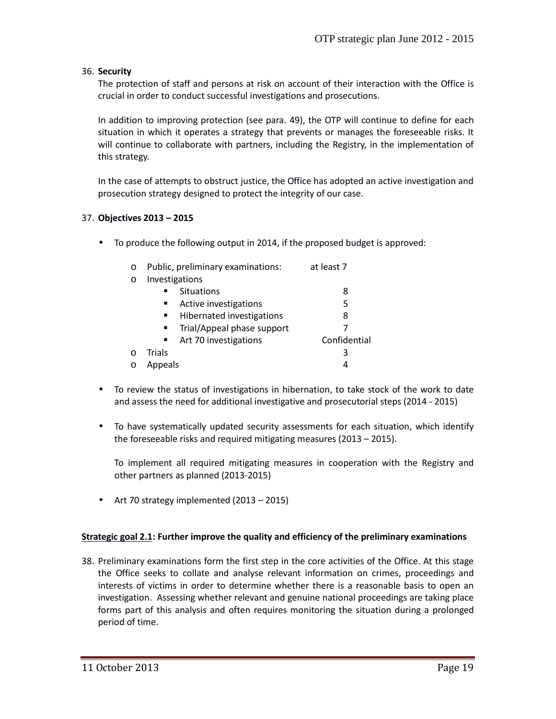#### 36. **Security**

The protection of staff and persons at risk on account of their interaction with the Office is crucial in order to conduct successful investigations and prosecutions.

In addition to improving protection (see para. 49), the OTP will continue to define for each situation in which it operates a strategy that prevents or manages the foreseeable risks. It will continue to collaborate with partners, including the Registry, in the implementation of this strategy.

In the case of attempts to obstruct justice, the Office has adopted an active investigation and prosecution strategy designed to protect the integrity of our case.

#### 37. **Objectives 2013 – 2015**

To produce the following output in 2014, if the proposed budget is approved:

| $\circ$ |                | Public, preliminary examinations: | at least 7   |
|---------|----------------|-----------------------------------|--------------|
| $\circ$ | Investigations |                                   |              |
|         | $\blacksquare$ | <b>Situations</b>                 | 8            |
|         | ٠              | Active investigations             | 5            |
|         | ٠              | Hibernated investigations         | 8            |
|         | ٠              | Trial/Appeal phase support        |              |
|         | ٠              | Art 70 investigations             | Confidential |
| ∩       | Trials         |                                   | 3            |
|         | Appeals        |                                   | 4            |

- To review the status of investigations in hibernation, to take stock of the work to date and assess the need for additional investigative and prosecutorial steps (2014 - 2015)
- To have systematically updated security assessments for each situation, which identify the foreseeable risks and required mitigating measures (2013 – 2015).

To implement all required mitigating measures in cooperation with the Registry and other partners as planned (2013-2015)

Art 70 strategy implemented (2013 – 2015)

#### **Strategic goal 2.1: Further improve the quality and efficiency of the preliminary examinations**

38. Preliminary examinations form the first step in the core activities of the Office. At this stage the Office seeks to collate and analyse relevant information on crimes, proceedings and interests of victims in order to determine whether there is a reasonable basis to open an investigation. Assessing whether relevant and genuine national proceedings are taking place forms part of this analysis and often requires monitoring the situation during a prolonged period of time.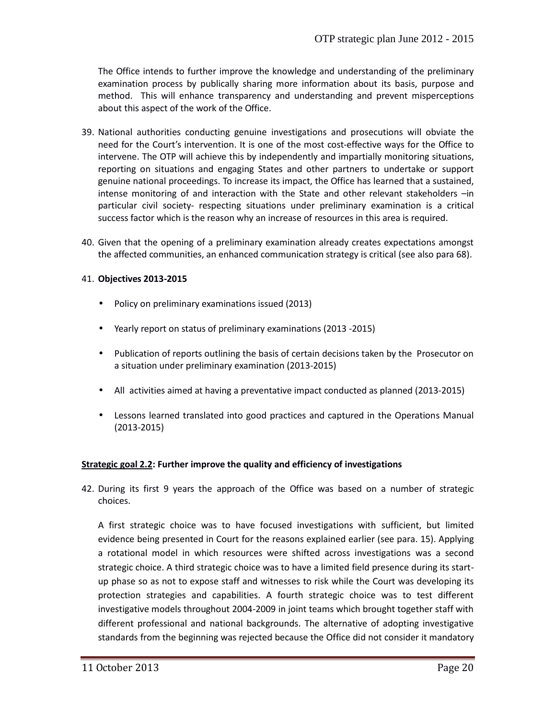The Office intends to further improve the knowledge and understanding of the preliminary examination process by publically sharing more information about its basis, purpose and method. This will enhance transparency and understanding and prevent misperceptions about this aspect of the work of the Office.

- 39. National authorities conducting genuine investigations and prosecutions will obviate the need for the Court's intervention. It is one of the most cost-effective ways for the Office to intervene. The OTP will achieve this by independently and impartially monitoring situations, reporting on situations and engaging States and other partners to undertake or support genuine national proceedings. To increase its impact, the Office has learned that a sustained, intense monitoring of and interaction with the State and other relevant stakeholders –in particular civil society- respecting situations under preliminary examination is a critical success factor which is the reason why an increase of resources in this area is required.
- 40. Given that the opening of a preliminary examination already creates expectations amongst the affected communities, an enhanced communication strategy is critical (see also para 68).

#### 41. **Objectives 2013-2015**

- Policy on preliminary examinations issued (2013)
- Yearly report on status of preliminary examinations (2013 -2015)
- Publication of reports outlining the basis of certain decisions taken by the Prosecutor on a situation under preliminary examination (2013-2015)
- All activities aimed at having a preventative impact conducted as planned (2013-2015)
- Lessons learned translated into good practices and captured in the Operations Manual (2013-2015)

#### **Strategic goal 2.2: Further improve the quality and efficiency of investigations**

42. During its first 9 years the approach of the Office was based on a number of strategic choices.

A first strategic choice was to have focused investigations with sufficient, but limited evidence being presented in Court for the reasons explained earlier (see para. 15). Applying a rotational model in which resources were shifted across investigations was a second strategic choice. A third strategic choice was to have a limited field presence during its start up phase so as not to expose staff and witnesses to risk while the Court was developing its protection strategies and capabilities. A fourth strategic choice was to test different investigative models throughout 2004-2009 in joint teams which brought together staff with different professional and national backgrounds. The alternative of adopting investigative standards from the beginning was rejected because the Office did not consider it mandatory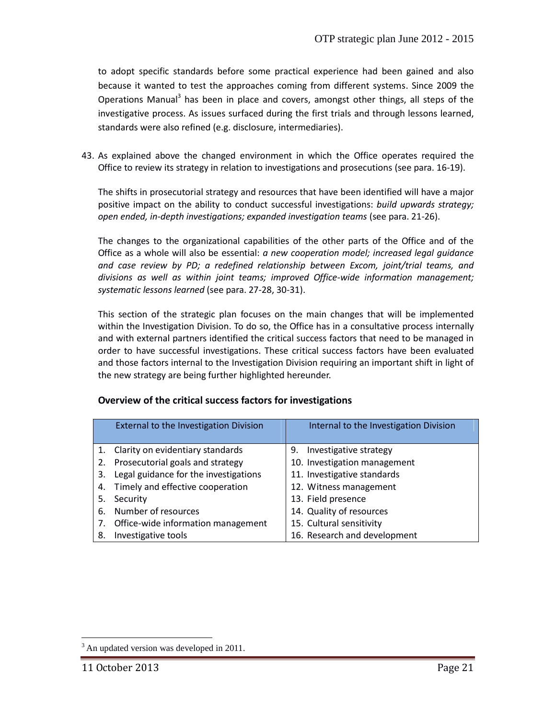to adopt specific standards before some practical experience had been gained and also because it wanted to test the approaches coming from different systems. Since 2009 the Operations Manual<sup>3</sup> has been in place and covers, amongst other things, all steps of the investigative process. As issues surfaced during the first trials and through lessons learned, standards were also refined (e.g. disclosure, intermediaries).

43. As explained above the changed environment in which the Office operates required the Office to review its strategy in relation to investigations and prosecutions (see para. 16-19).

The shifts in prosecutorial strategy and resources that have been identified will have a major positive impact on the ability to conduct successful investigations: *build upwards strategy; open ended, in-depth investigations; expanded investigation teams* (see para. 21-26).

The changes to the organizational capabilities of the other parts of the Office and of the Office as a whole will also be essential: *a new cooperation model; increased legal guidance and case review by PD; a redefined relationship between Excom, joint/trial teams, and divisions as well as within joint teams; improved Office-wide information management; systematic lessons learned* (see para. 27-28, 30-31).

This section of the strategic plan focuses on the main changes that will be implemented within the Investigation Division. To do so, the Office has in a consultative process internally and with external partners identified the critical success factors that need to be managed in order to have successful investigations. These critical success factors have been evaluated and those factors internal to the Investigation Division requiring an important shift in light of the new strategy are being further highlighted hereunder.

|    | <b>External to the Investigation Division</b> | Internal to the Investigation Division |
|----|-----------------------------------------------|----------------------------------------|
|    | 1. Clarity on evidentiary standards           | Investigative strategy<br>9.           |
|    | 2. Prosecutorial goals and strategy           | 10. Investigation management           |
| 3. | Legal guidance for the investigations         | 11. Investigative standards            |
|    | 4. Timely and effective cooperation           | 12. Witness management                 |
| 5. | Security                                      | 13. Field presence                     |
| 6. | Number of resources                           | 14. Quality of resources               |
| 7. | Office-wide information management            | 15. Cultural sensitivity               |
| 8. | Investigative tools                           | 16. Research and development           |

#### **Overview of the critical success factors for investigations**

<sup>&</sup>lt;sup>3</sup> An updated version was developed in 2011.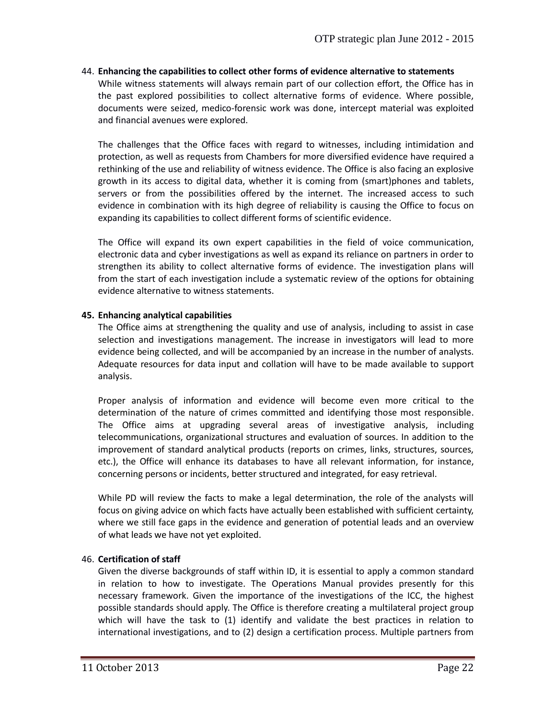#### 44. **Enhancing the capabilities to collect other forms of evidence alternative to statements**

While witness statements will always remain part of our collection effort, the Office has in the past explored possibilities to collect alternative forms of evidence. Where possible, documents were seized, medico-forensic work was done, intercept material was exploited and financial avenues were explored.

The challenges that the Office faces with regard to witnesses, including intimidation and protection, as well as requests from Chambers for more diversified evidence have required a rethinking of the use and reliability of witness evidence. The Office is also facing an explosive growth in its access to digital data, whether it is coming from (smart)phones and tablets, servers or from the possibilities offered by the internet. The increased access to such evidence in combination with its high degree of reliability is causing the Office to focus on expanding its capabilities to collect different forms of scientific evidence.

The Office will expand its own expert capabilities in the field of voice communication, electronic data and cyber investigations as well as expand its reliance on partners in order to strengthen its ability to collect alternative forms of evidence. The investigation plans will from the start of each investigation include a systematic review of the options for obtaining evidence alternative to witness statements.

#### **45. Enhancing analytical capabilities**

The Office aims at strengthening the quality and use of analysis, including to assist in case selection and investigations management. The increase in investigators will lead to more evidence being collected, and will be accompanied by an increase in the number of analysts. Adequate resources for data input and collation will have to be made available to support analysis.

Proper analysis of information and evidence will become even more critical to the determination of the nature of crimes committed and identifying those most responsible. The Office aims at upgrading several areas of investigative analysis, including telecommunications, organizational structures and evaluation of sources. In addition to the improvement of standard analytical products (reports on crimes, links, structures, sources, etc.), the Office will enhance its databases to have all relevant information, for instance, concerning persons or incidents, better structured and integrated, for easy retrieval.

While PD will review the facts to make a legal determination, the role of the analysts will focus on giving advice on which facts have actually been established with sufficient certainty, where we still face gaps in the evidence and generation of potential leads and an overview of what leads we have not yet exploited.

#### 46. **Certification of staff**

Given the diverse backgrounds of staff within ID, it is essential to apply a common standard in relation to how to investigate. The Operations Manual provides presently for this necessary framework. Given the importance of the investigations of the ICC, the highest possible standards should apply. The Office is therefore creating a multilateral project group which will have the task to (1) identify and validate the best practices in relation to international investigations, and to (2) design a certification process. Multiple partners from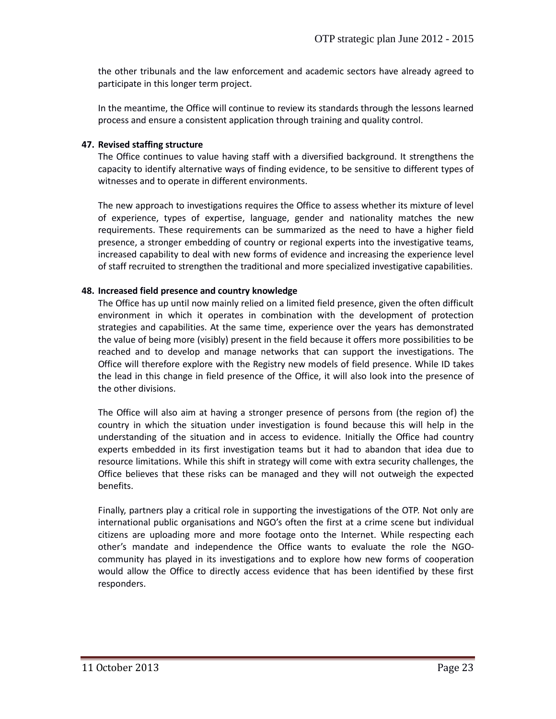the other tribunals and the law enforcement and academic sectors have already agreed to participate in this longer term project.

In the meantime, the Office will continue to review its standards through the lessons learned process and ensure a consistent application through training and quality control.

#### **47. Revised staffing structure**

The Office continues to value having staff with a diversified background. It strengthens the capacity to identify alternative ways of finding evidence, to be sensitive to different types of witnesses and to operate in different environments.

The new approach to investigations requires the Office to assess whether its mixture of level of experience, types of expertise, language, gender and nationality matches the new requirements. These requirements can be summarized as the need to have a higher field presence, a stronger embedding of country or regional experts into the investigative teams, increased capability to deal with new forms of evidence and increasing the experience level of staff recruited to strengthen the traditional and more specialized investigative capabilities.

#### **48. Increased field presence and country knowledge**

The Office has up until now mainly relied on a limited field presence, given the often difficult environment in which it operates in combination with the development of protection strategies and capabilities. At the same time, experience over the years has demonstrated the value of being more (visibly) present in the field because it offers more possibilities to be reached and to develop and manage networks that can support the investigations. The Office will therefore explore with the Registry new models of field presence. While ID takes the lead in this change in field presence of the Office, it will also look into the presence of the other divisions.

The Office will also aim at having a stronger presence of persons from (the region of) the country in which the situation under investigation is found because this will help in the understanding of the situation and in access to evidence. Initially the Office had country experts embedded in its first investigation teams but it had to abandon that idea due to resource limitations. While this shift in strategy will come with extra security challenges, the Office believes that these risks can be managed and they will not outweigh the expected benefits.

Finally, partners play a critical role in supporting the investigations of the OTP. Not only are international public organisations and NGO's often the first at a crime scene but individual citizens are uploading more and more footage onto the Internet. While respecting each other's mandate and independence the Office wants to evaluate the role the NGO community has played in its investigations and to explore how new forms of cooperation would allow the Office to directly access evidence that has been identified by these first responders.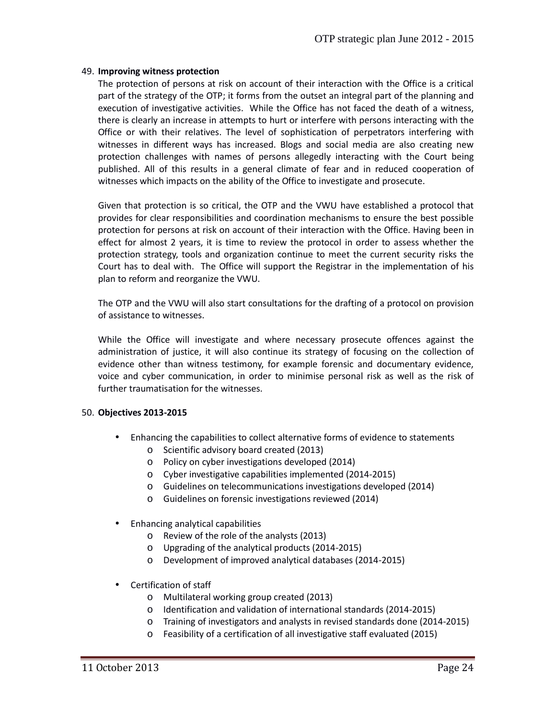#### 49. **Improving witness protection**

The protection of persons at risk on account of their interaction with the Office is a critical part of the strategy of the OTP; it forms from the outset an integral part of the planning and execution of investigative activities. While the Office has not faced the death of a witness, there is clearly an increase in attempts to hurt or interfere with persons interacting with the Office or with their relatives. The level of sophistication of perpetrators interfering with witnesses in different ways has increased. Blogs and social media are also creating new protection challenges with names of persons allegedly interacting with the Court being published. All of this results in a general climate of fear and in reduced cooperation of witnesses which impacts on the ability of the Office to investigate and prosecute.

Given that protection is so critical, the OTP and the VWU have established a protocol that provides for clear responsibilities and coordination mechanisms to ensure the best possible protection for persons at risk on account of their interaction with the Office. Having been in effect for almost 2 years, it is time to review the protocol in order to assess whether the protection strategy, tools and organization continue to meet the current security risks the Court has to deal with. The Office will support the Registrar in the implementation of his plan to reform and reorganize the VWU.

The OTP and the VWU will also start consultations for the drafting of a protocol on provision of assistance to witnesses.

While the Office will investigate and where necessary prosecute offences against the administration of justice, it will also continue its strategy of focusing on the collection of evidence other than witness testimony, for example forensic and documentary evidence, voice and cyber communication, in order to minimise personal risk as well as the risk of further traumatisation for the witnesses.

#### 50. **Objectives 2013-2015**

- Enhancing the capabilities to collect alternative forms of evidence to statements
	- o Scientific advisory board created (2013)
	- o Policy on cyber investigations developed (2014)
	- o Cyber investigative capabilities implemented (2014-2015)
	- o Guidelines on telecommunications investigations developed (2014)
	- o Guidelines on forensic investigations reviewed (2014)
- Enhancing analytical capabilities
	- o Review of the role of the analysts (2013)
	- o Upgrading of the analytical products (2014-2015)
	- o Development of improved analytical databases (2014-2015)
- Certification of staff
	- o Multilateral working group created (2013)
	- o Identification and validation of international standards (2014-2015)
	- o Training of investigators and analysts in revised standards done (2014-2015)
	- o Feasibility of a certification of all investigative staff evaluated (2015)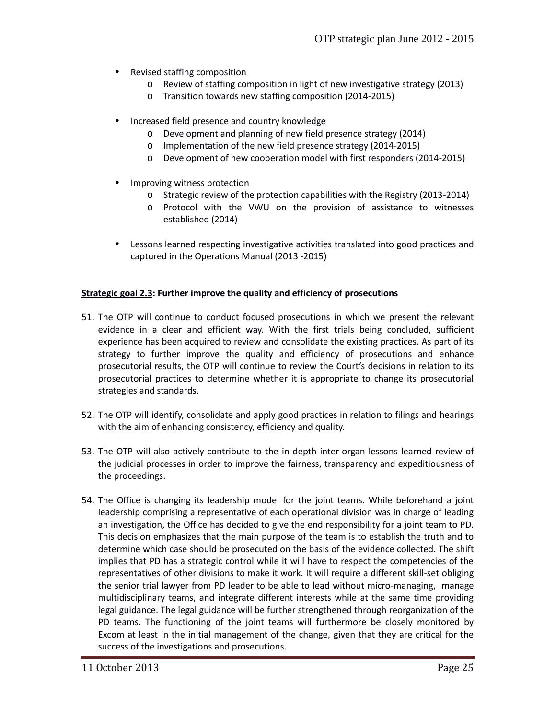- Revised staffing composition
	- o Review of staffing composition in light of new investigative strategy (2013)
	- o Transition towards new staffing composition (2014-2015)
- Increased field presence and country knowledge
	- o Development and planning of new field presence strategy (2014)
	- o Implementation of the new field presence strategy (2014-2015)
	- o Development of new cooperation model with first responders (2014-2015)
- Improving witness protection
	- o Strategic review of the protection capabilities with the Registry (2013-2014)
	- o Protocol with the VWU on the provision of assistance to witnesses established (2014)
- Lessons learned respecting investigative activities translated into good practices and captured in the Operations Manual (2013 -2015)

#### **Strategic goal 2.3: Further improve the quality and efficiency of prosecutions**

- 51. The OTP will continue to conduct focused prosecutions in which we present the relevant evidence in a clear and efficient way. With the first trials being concluded, sufficient experience has been acquired to review and consolidate the existing practices. As part of its strategy to further improve the quality and efficiency of prosecutions and enhance prosecutorial results, the OTP will continue to review the Court's decisions in relation to its prosecutorial practices to determine whether it is appropriate to change its prosecutorial strategies and standards.
- 52. The OTP will identify, consolidate and apply good practices in relation to filings and hearings with the aim of enhancing consistency, efficiency and quality.
- 53. The OTP will also actively contribute to the in-depth inter-organ lessons learned review of the judicial processes in order to improve the fairness, transparency and expeditiousness of the proceedings.
- 54. The Office is changing its leadership model for the joint teams. While beforehand a joint leadership comprising a representative of each operational division was in charge of leading an investigation, the Office has decided to give the end responsibility for a joint team to PD. This decision emphasizes that the main purpose of the team is to establish the truth and to determine which case should be prosecuted on the basis of the evidence collected. The shift implies that PD has a strategic control while it will have to respect the competencies of the representatives of other divisions to make it work. It will require a different skill-set obliging the senior trial lawyer from PD leader to be able to lead without micro-managing, manage multidisciplinary teams, and integrate different interests while at the same time providing legal guidance. The legal guidance will be further strengthened through reorganization of the PD teams. The functioning of the joint teams will furthermore be closely monitored by Excom at least in the initial management of the change, given that they are critical for the success of the investigations and prosecutions.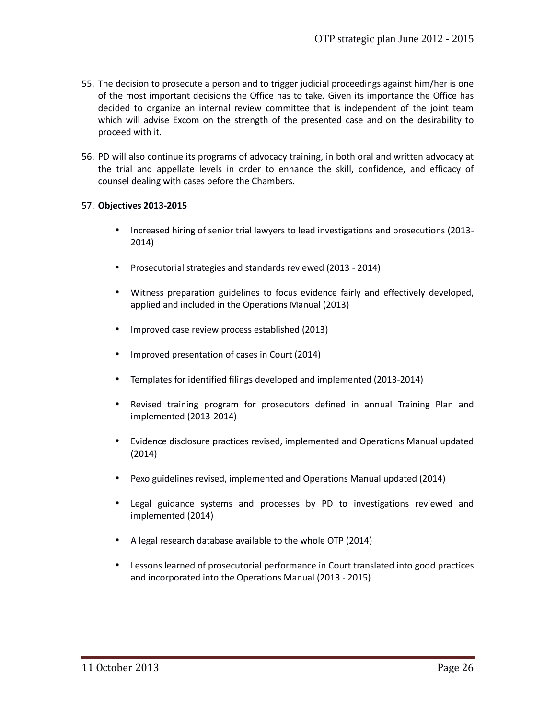- 55. The decision to prosecute a person and to trigger judicial proceedings against him/her is one of the most important decisions the Office has to take. Given its importance the Office has decided to organize an internal review committee that is independent of the joint team which will advise Excom on the strength of the presented case and on the desirability to proceed with it.
- 56. PD will also continue its programs of advocacy training, in both oral and written advocacy at the trial and appellate levels in order to enhance the skill, confidence, and efficacy of counsel dealing with cases before the Chambers.

#### 57. **Objectives 2013-2015**

- Increased hiring of senior trial lawyers to lead investigations and prosecutions (2013- 2014)
- Prosecutorial strategies and standards reviewed (2013 2014)
- Witness preparation guidelines to focus evidence fairly and effectively developed, applied and included in the Operations Manual (2013)
- Improved case review process established (2013)
- Improved presentation of cases in Court (2014)
- Templates for identified filings developed and implemented (2013-2014)
- Revised training program for prosecutors defined in annual Training Plan and implemented (2013-2014)
- Evidence disclosure practices revised, implemented and Operations Manual updated (2014)
- Pexo guidelines revised, implemented and Operations Manual updated (2014)
- Legal guidance systems and processes by PD to investigations reviewed and implemented (2014)
- A legal research database available to the whole OTP (2014)
- Lessons learned of prosecutorial performance in Court translated into good practices and incorporated into the Operations Manual (2013 - 2015)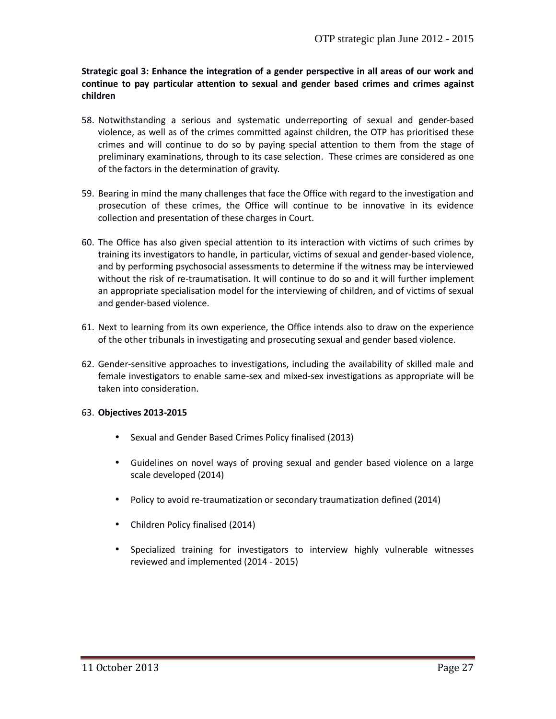**Strategic goal 3: Enhance the integration of a gender perspective in all areas of our work and continue to pay particular attention to sexual and gender based crimes and crimes against children**

- 58. Notwithstanding a serious and systematic underreporting of sexual and gender-based violence, as well as of the crimes committed against children, the OTP has prioritised these crimes and will continue to do so by paying special attention to them from the stage of preliminary examinations, through to its case selection. These crimes are considered as one of the factors in the determination of gravity.
- 59. Bearing in mind the many challenges that face the Office with regard to the investigation and prosecution of these crimes, the Office will continue to be innovative in its evidence collection and presentation of these charges in Court.
- 60. The Office has also given special attention to its interaction with victims of such crimes by training its investigators to handle, in particular, victims of sexual and gender-based violence, and by performing psychosocial assessments to determine if the witness may be interviewed without the risk of re-traumatisation. It will continue to do so and it will further implement an appropriate specialisation model for the interviewing of children, and of victims of sexual and gender-based violence.
- 61. Next to learning from its own experience, the Office intends also to draw on the experience of the other tribunals in investigating and prosecuting sexual and gender based violence.
- 62. Gender-sensitive approaches to investigations, including the availability of skilled male and female investigators to enable same-sex and mixed-sex investigations as appropriate will be taken into consideration.

#### 63. **Objectives 2013-2015**

- Sexual and Gender Based Crimes Policy finalised (2013)
- Guidelines on novel ways of proving sexual and gender based violence on a large scale developed (2014)
- Policy to avoid re-traumatization or secondary traumatization defined (2014)
- Children Policy finalised (2014)
- Specialized training for investigators to interview highly vulnerable witnesses reviewed and implemented (2014 - 2015)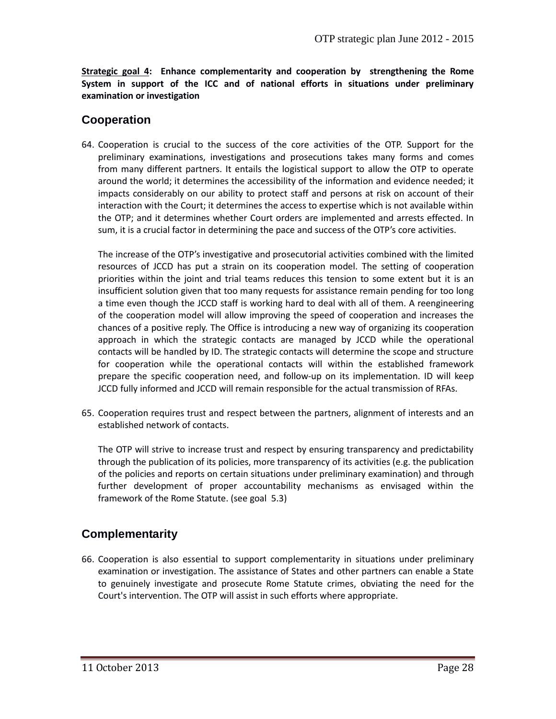**Strategic goal 4: Enhance complementarity and cooperation by strengthening the Rome System in support of the ICC and of national efforts in situations under preliminary examination or investigation**

### **Cooperation**

64. Cooperation is crucial to the success of the core activities of the OTP. Support for the preliminary examinations, investigations and prosecutions takes many forms and comes from many different partners. It entails the logistical support to allow the OTP to operate around the world; it determines the accessibility of the information and evidence needed; it impacts considerably on our ability to protect staff and persons at risk on account of their interaction with the Court; it determines the access to expertise which is not available within the OTP; and it determines whether Court orders are implemented and arrests effected. In sum, it is a crucial factor in determining the pace and success of the OTP's core activities.

The increase of the OTP's investigative and prosecutorial activities combined with the limited resources of JCCD has put a strain on its cooperation model. The setting of cooperation priorities within the joint and trial teams reduces this tension to some extent but it is an insufficient solution given that too many requests for assistance remain pending for too long a time even though the JCCD staff is working hard to deal with all of them. A reengineering of the cooperation model will allow improving the speed of cooperation and increases the chances of a positive reply. The Office is introducing a new way of organizing its cooperation approach in which the strategic contacts are managed by JCCD while the operational contacts will be handled by ID. The strategic contacts will determine the scope and structure for cooperation while the operational contacts will within the established framework prepare the specific cooperation need, and follow-up on its implementation. ID will keep JCCD fully informed and JCCD will remain responsible for the actual transmission of RFAs.

65. Cooperation requires trust and respect between the partners, alignment of interests and an established network of contacts.

The OTP will strive to increase trust and respect by ensuring transparency and predictability through the publication of its policies, more transparency of its activities (e.g. the publication of the policies and reports on certain situations under preliminary examination) and through further development of proper accountability mechanisms as envisaged within the framework of the Rome Statute. (see goal 5.3)

## **Complementarity**

66. Cooperation is also essential to support complementarity in situations under preliminary examination or investigation. The assistance of States and other partners can enable a State to genuinely investigate and prosecute Rome Statute crimes, obviating the need for the Court's intervention. The OTP will assist in such efforts where appropriate.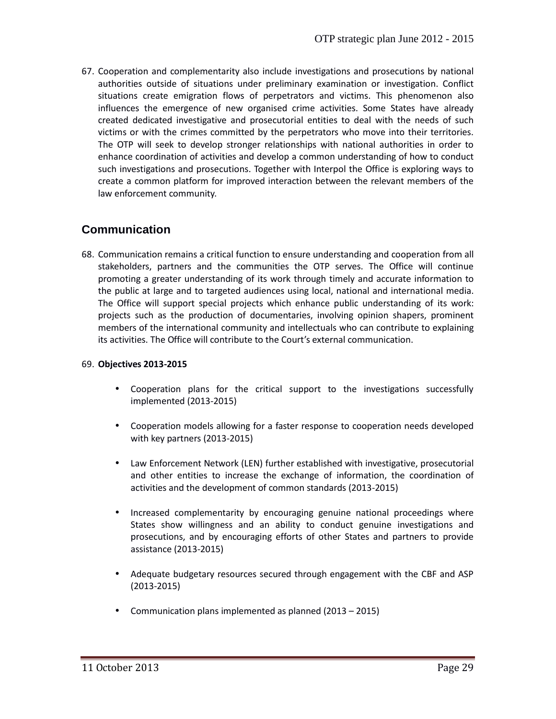67. Cooperation and complementarity also include investigations and prosecutions by national authorities outside of situations under preliminary examination or investigation. Conflict situations create emigration flows of perpetrators and victims. This phenomenon also influences the emergence of new organised crime activities. Some States have already created dedicated investigative and prosecutorial entities to deal with the needs of such victims or with the crimes committed by the perpetrators who move into their territories. The OTP will seek to develop stronger relationships with national authorities in order to enhance coordination of activities and develop a common understanding of how to conduct such investigations and prosecutions. Together with Interpol the Office is exploring ways to create a common platform for improved interaction between the relevant members of the law enforcement community.

### **Communication**

68. Communication remains a critical function to ensure understanding and cooperation from all stakeholders, partners and the communities the OTP serves. The Office will continue promoting a greater understanding of its work through timely and accurate information to the public at large and to targeted audiences using local, national and international media. The Office will support special projects which enhance public understanding of its work: projects such as the production of documentaries, involving opinion shapers, prominent members of the international community and intellectuals who can contribute to explaining its activities. The Office will contribute to the Court's external communication.

#### 69. **Objectives 2013-2015**

- Cooperation plans for the critical support to the investigations successfully implemented (2013-2015)
- Cooperation models allowing for a faster response to cooperation needs developed with key partners (2013-2015)
- Law Enforcement Network (LEN) further established with investigative, prosecutorial and other entities to increase the exchange of information, the coordination of activities and the development of common standards (2013-2015)
- Increased complementarity by encouraging genuine national proceedings where States show willingness and an ability to conduct genuine investigations and prosecutions, and by encouraging efforts of other States and partners to provide assistance (2013-2015)
- Adequate budgetary resources secured through engagement with the CBF and ASP (2013-2015)
- Communication plans implemented as planned (2013 2015)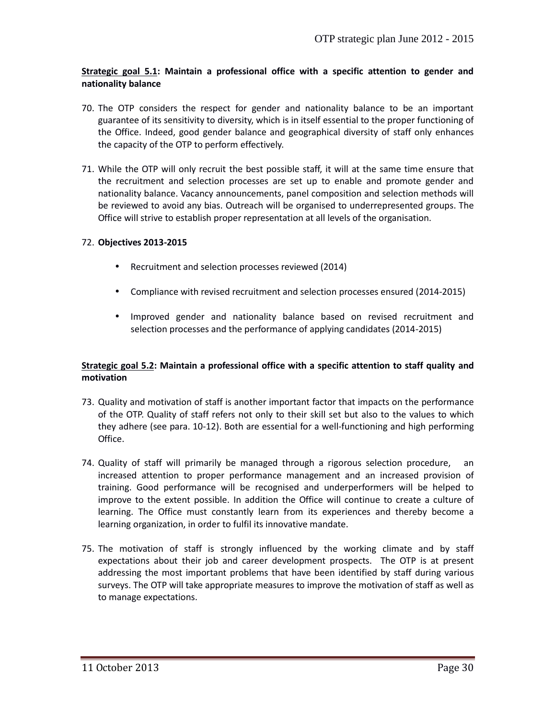#### **Strategic goal 5.1: Maintain a professional office with a specific attention to gender and nationality balance**

- 70. The OTP considers the respect for gender and nationality balance to be an important guarantee of its sensitivity to diversity, which is in itself essential to the proper functioning of the Office. Indeed, good gender balance and geographical diversity of staff only enhances the capacity of the OTP to perform effectively.
- 71. While the OTP will only recruit the best possible staff, it will at the same time ensure that the recruitment and selection processes are set up to enable and promote gender and nationality balance. Vacancy announcements, panel composition and selection methods will be reviewed to avoid any bias. Outreach will be organised to underrepresented groups. The Office will strive to establish proper representation at all levels of the organisation.

#### 72. **Objectives 2013-2015**

- Recruitment and selection processes reviewed (2014)
- Compliance with revised recruitment and selection processes ensured (2014-2015)
- Improved gender and nationality balance based on revised recruitment and selection processes and the performance of applying candidates (2014-2015)

#### **Strategic goal 5.2: Maintain a professional office with a specific attention to staff quality and motivation**

- 73. Quality and motivation of staff is another important factor that impacts on the performance of the OTP. Quality of staff refers not only to their skill set but also to the values to which they adhere (see para. 10-12). Both are essential for a well-functioning and high performing Office.
- 74. Quality of staff will primarily be managed through a rigorous selection procedure, an increased attention to proper performance management and an increased provision of training. Good performance will be recognised and underperformers will be helped to improve to the extent possible. In addition the Office will continue to create a culture of learning. The Office must constantly learn from its experiences and thereby become a learning organization, in order to fulfil its innovative mandate.
- 75. The motivation of staff is strongly influenced by the working climate and by staff expectations about their job and career development prospects. The OTP is at present addressing the most important problems that have been identified by staff during various surveys. The OTP will take appropriate measures to improve the motivation of staff as well as to manage expectations.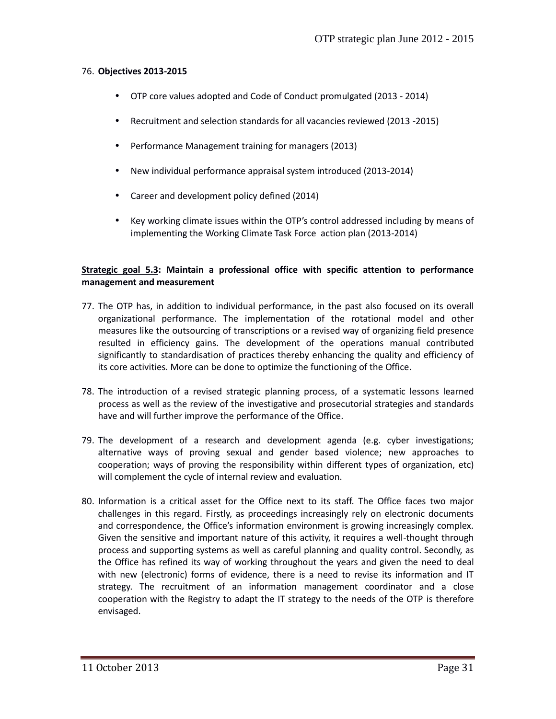#### 76. **Objectives 2013-2015**

- OTP core values adopted and Code of Conduct promulgated (2013 2014)
- Recruitment and selection standards for all vacancies reviewed (2013 -2015)
- Performance Management training for managers (2013)
- New individual performance appraisal system introduced (2013-2014)
- Career and development policy defined (2014)
- Key working climate issues within the OTP's control addressed including by means of implementing the Working Climate Task Force action plan (2013-2014)

#### **Strategic goal 5.3: Maintain a professional office with specific attention to performance management and measurement**

- 77. The OTP has, in addition to individual performance, in the past also focused on its overall organizational performance. The implementation of the rotational model and other measures like the outsourcing of transcriptions or a revised way of organizing field presence resulted in efficiency gains. The development of the operations manual contributed significantly to standardisation of practices thereby enhancing the quality and efficiency of its core activities. More can be done to optimize the functioning of the Office.
- 78. The introduction of a revised strategic planning process, of a systematic lessons learned process as well as the review of the investigative and prosecutorial strategies and standards have and will further improve the performance of the Office.
- 79. The development of a research and development agenda (e.g. cyber investigations; alternative ways of proving sexual and gender based violence; new approaches to cooperation; ways of proving the responsibility within different types of organization, etc) will complement the cycle of internal review and evaluation.
- 80. Information is a critical asset for the Office next to its staff. The Office faces two major challenges in this regard. Firstly, as proceedings increasingly rely on electronic documents and correspondence, the Office's information environment is growing increasingly complex. Given the sensitive and important nature of this activity, it requires a well-thought through process and supporting systems as well as careful planning and quality control. Secondly, as the Office has refined its way of working throughout the years and given the need to deal with new (electronic) forms of evidence, there is a need to revise its information and IT strategy. The recruitment of an information management coordinator and a close cooperation with the Registry to adapt the IT strategy to the needs of the OTP is therefore envisaged.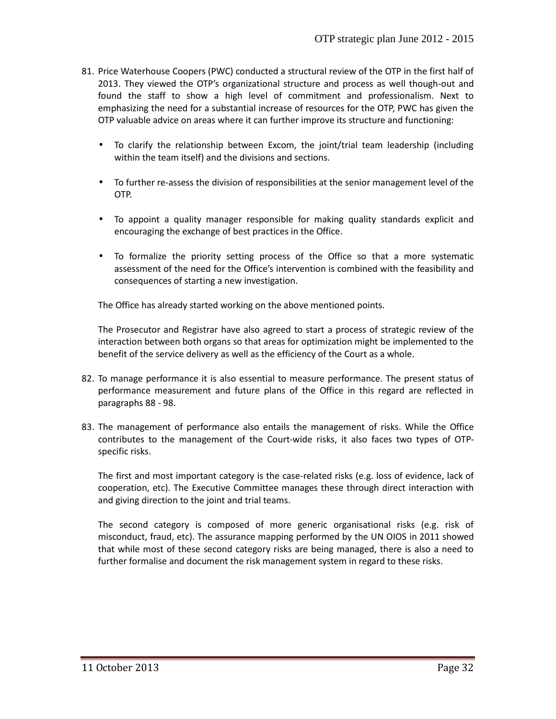- 81. Price Waterhouse Coopers (PWC) conducted a structural review of the OTP in the first half of 2013. They viewed the OTP's organizational structure and process as well though-out and found the staff to show a high level of commitment and professionalism. Next to emphasizing the need for a substantial increase of resources for the OTP, PWC has given the OTP valuable advice on areas where it can further improve its structure and functioning:
	- To clarify the relationship between Excom, the joint/trial team leadership (including within the team itself) and the divisions and sections.
	- To further re-assess the division of responsibilities at the senior management level of the OTP.
	- To appoint a quality manager responsible for making quality standards explicit and encouraging the exchange of best practices in the Office.
	- To formalize the priority setting process of the Office so that a more systematic assessment of the need for the Office's intervention is combined with the feasibility and consequences of starting a new investigation.

The Office has already started working on the above mentioned points.

The Prosecutor and Registrar have also agreed to start a process of strategic review of the interaction between both organs so that areas for optimization might be implemented to the benefit of the service delivery as well as the efficiency of the Court as a whole.

- 82. To manage performance it is also essential to measure performance. The present status of performance measurement and future plans of the Office in this regard are reflected in paragraphs 88 - 98.
- 83. The management of performance also entails the management of risks. While the Office contributes to the management of the Court-wide risks, it also faces two types of OTP specific risks.

The first and most important category is the case-related risks (e.g. loss of evidence, lack of cooperation, etc). The Executive Committee manages these through direct interaction with and giving direction to the joint and trial teams.

The second category is composed of more generic organisational risks (e.g. risk of misconduct, fraud, etc). The assurance mapping performed by the UN OIOS in 2011 showed that while most of these second category risks are being managed, there is also a need to further formalise and document the risk management system in regard to these risks.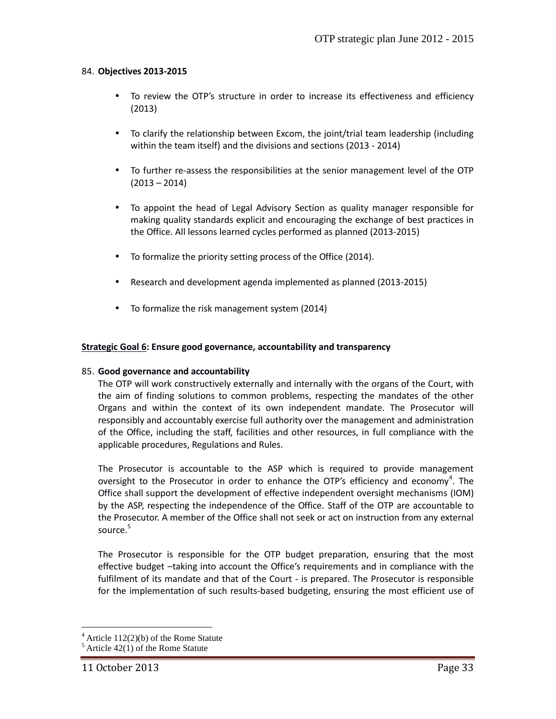#### 84. **Objectives 2013-2015**

- To review the OTP's structure in order to increase its effectiveness and efficiency (2013)
- To clarify the relationship between Excom, the joint/trial team leadership (including within the team itself) and the divisions and sections (2013 - 2014)
- To further re-assess the responsibilities at the senior management level of the OTP  $(2013 - 2014)$
- To appoint the head of Legal Advisory Section as quality manager responsible for making quality standards explicit and encouraging the exchange of best practices in the Office. All lessons learned cycles performed as planned (2013-2015)
- To formalize the priority setting process of the Office (2014).
- Research and development agenda implemented as planned (2013-2015)
- To formalize the risk management system (2014)

#### **Strategic Goal 6: Ensure good governance, accountability and transparency**

#### 85. **Good governance and accountability**

The OTP will work constructively externally and internally with the organs of the Court, with the aim of finding solutions to common problems, respecting the mandates of the other Organs and within the context of its own independent mandate. The Prosecutor will responsibly and accountably exercise full authority over the management and administration of the Office, including the staff, facilities and other resources, in full compliance with the applicable procedures, Regulations and Rules.

The Prosecutor is accountable to the ASP which is required to provide management oversight to the Prosecutor in order to enhance the OTP's efficiency and economy<sup>4</sup>. The Office shall support the development of effective independent oversight mechanisms (IOM) by the ASP, respecting the independence of the Office. Staff of the OTP are accountable to the Prosecutor. A member of the Office shall not seek or act on instruction from any external source. $5$ 

The Prosecutor is responsible for the OTP budget preparation, ensuring that the most effective budget –taking into account the Office's requirements and in compliance with the fulfilment of its mandate and that of the Court - is prepared. The Prosecutor is responsible for the implementation of such results-based budgeting, ensuring the most efficient use of

 $4$  Article 112(2)(b) of the Rome Statute

 $<sup>5</sup>$  Article 42(1) of the Rome Statute</sup>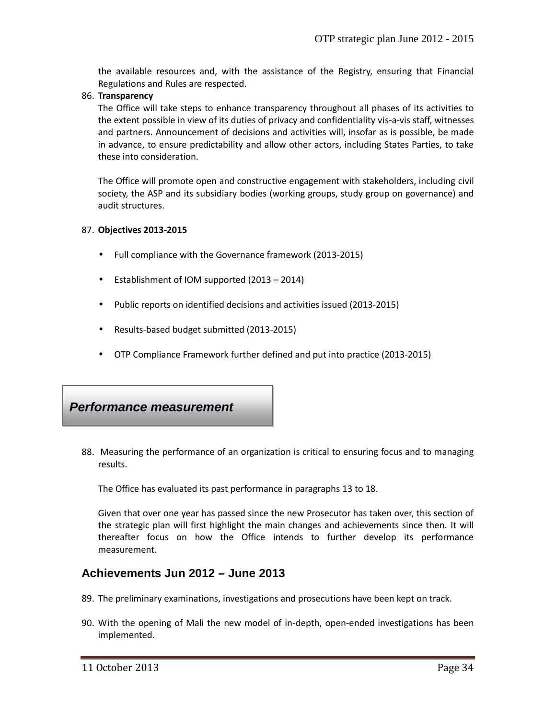the available resources and, with the assistance of the Registry, ensuring that Financial Regulations and Rules are respected.

86. **Transparency**

The Office will take steps to enhance transparency throughout all phases of its activities to the extent possible in view of its duties of privacy and confidentiality vis-a-vis staff, witnesses and partners. Announcement of decisions and activities will, insofar as is possible, be made in advance, to ensure predictability and allow other actors, including States Parties, to take these into consideration.

The Office will promote open and constructive engagement with stakeholders, including civil society, the ASP and its subsidiary bodies (working groups, study group on governance) and audit structures.

#### 87. **Objectives 2013-2015**

- Full compliance with the Governance framework (2013-2015)
- Establishment of IOM supported (2013 2014)
- Public reports on identified decisions and activities issued (2013-2015)
- Results-based budget submitted (2013-2015)
- OTP Compliance Framework further defined and put into practice (2013-2015)

### *Performance measurement*

88. Measuring the performance of an organization is critical to ensuring focus and to managing results.

The Office has evaluated its past performance in paragraphs 13 to 18.

Given that over one year has passed since the new Prosecutor has taken over, this section of the strategic plan will first highlight the main changes and achievements since then. It will thereafter focus on how the Office intends to further develop its performance measurement.

### **Achievements Jun 2012 – June 2013**

- 89. The preliminary examinations, investigations and prosecutions have been kept on track.
- 90. With the opening of Mali the new model of in-depth, open-ended investigations has been implemented.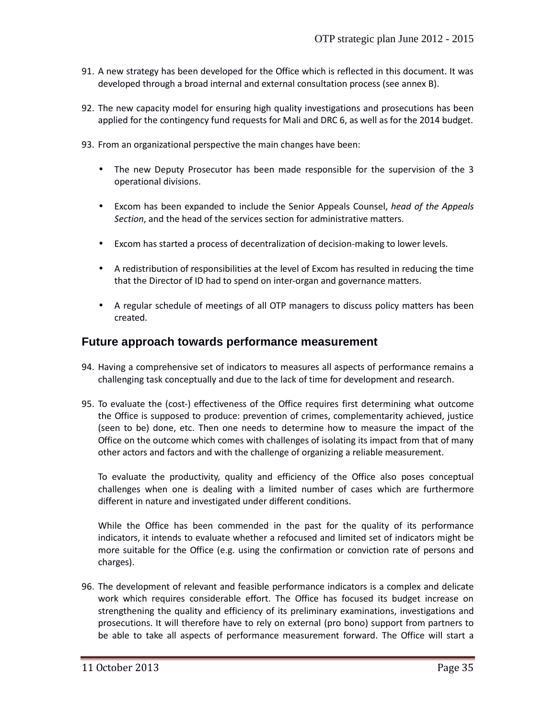- 91. A new strategy has been developed for the Office which is reflected in this document. It was developed through a broad internal and external consultation process (see annex B).
- 92. The new capacity model for ensuring high quality investigations and prosecutions has been applied for the contingency fund requests for Mali and DRC 6, as well as for the 2014 budget.
- 93. From an organizational perspective the main changes have been:
	- The new Deputy Prosecutor has been made responsible for the supervision of the 3 operational divisions.
	- Excom has been expanded to include the Senior Appeals Counsel, *head of the Appeals Section*, and the head of the services section for administrative matters.
	- Excom has started a process of decentralization of decision-making to lower levels.
	- A redistribution of responsibilities at the level of Excom has resulted in reducing the time that the Director of ID had to spend on inter-organ and governance matters.
	- A regular schedule of meetings of all OTP managers to discuss policy matters has been created.

### **Future approach towards performance measurement**

- 94. Having a comprehensive set of indicators to measures all aspects of performance remains a challenging task conceptually and due to the lack of time for development and research.
- 95. To evaluate the (cost-) effectiveness of the Office requires first determining what outcome the Office is supposed to produce: prevention of crimes, complementarity achieved, justice (seen to be) done, etc. Then one needs to determine how to measure the impact of the Office on the outcome which comes with challenges of isolating its impact from that of many other actors and factors and with the challenge of organizing a reliable measurement.

To evaluate the productivity, quality and efficiency of the Office also poses conceptual challenges when one is dealing with a limited number of cases which are furthermore different in nature and investigated under different conditions.

While the Office has been commended in the past for the quality of its performance indicators, it intends to evaluate whether a refocused and limited set of indicators might be more suitable for the Office (e.g. using the confirmation or conviction rate of persons and charges).

96. The development of relevant and feasible performance indicators is a complex and delicate work which requires considerable effort. The Office has focused its budget increase on strengthening the quality and efficiency of its preliminary examinations, investigations and prosecutions. It will therefore have to rely on external (pro bono) support from partners to be able to take all aspects of performance measurement forward. The Office will start a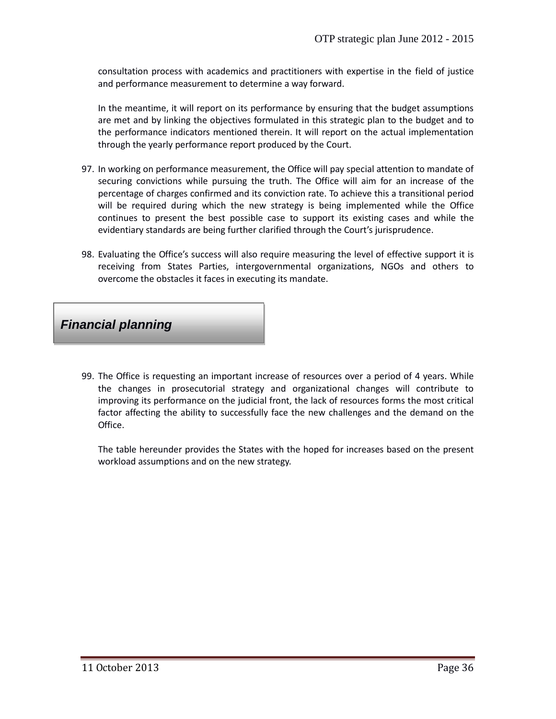consultation process with academics and practitioners with expertise in the field of justice and performance measurement to determine a way forward.

In the meantime, it will report on its performance by ensuring that the budget assumptions are met and by linking the objectives formulated in this strategic plan to the budget and to the performance indicators mentioned therein. It will report on the actual implementation through the yearly performance report produced by the Court.

- 97. In working on performance measurement, the Office will pay special attention to mandate of securing convictions while pursuing the truth. The Office will aim for an increase of the percentage of charges confirmed and its conviction rate. To achieve this a transitional period will be required during which the new strategy is being implemented while the Office continues to present the best possible case to support its existing cases and while the evidentiary standards are being further clarified through the Court's jurisprudence.
- 98. Evaluating the Office's success will also require measuring the level of effective support it is receiving from States Parties, intergovernmental organizations, NGOs and others to overcome the obstacles it faces in executing its mandate.



99. The Office is requesting an important increase of resources over a period of 4 years. While the changes in prosecutorial strategy and organizational changes will contribute to improving its performance on the judicial front, the lack of resources forms the most critical factor affecting the ability to successfully face the new challenges and the demand on the Office.

The table hereunder provides the States with the hoped for increases based on the present workload assumptions and on the new strategy.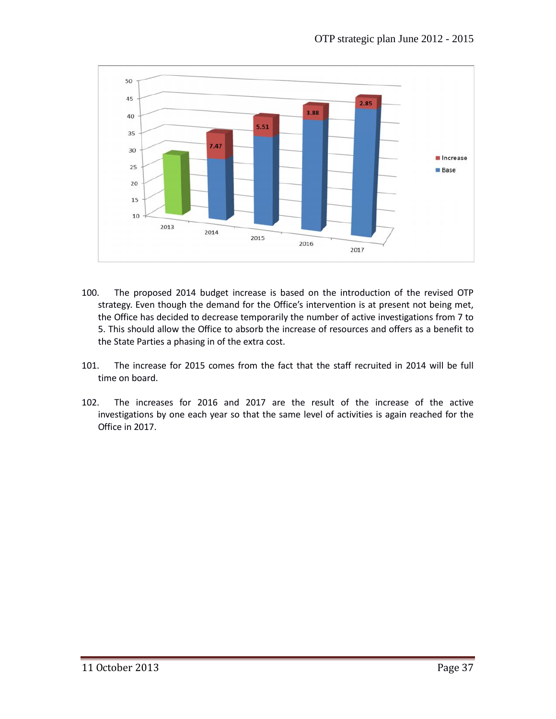

- 100. The proposed 2014 budget increase is based on the introduction of the revised OTP strategy. Even though the demand for the Office's intervention is at present not being met, the Office has decided to decrease temporarily the number of active investigations from 7 to 5. This should allow the Office to absorb the increase of resources and offers as a benefit to the State Parties a phasing in of the extra cost.
- 101. The increase for 2015 comes from the fact that the staff recruited in 2014 will be full time on board.
- 102. The increases for 2016 and 2017 are the result of the increase of the active investigations by one each year so that the same level of activities is again reached for the Office in 2017.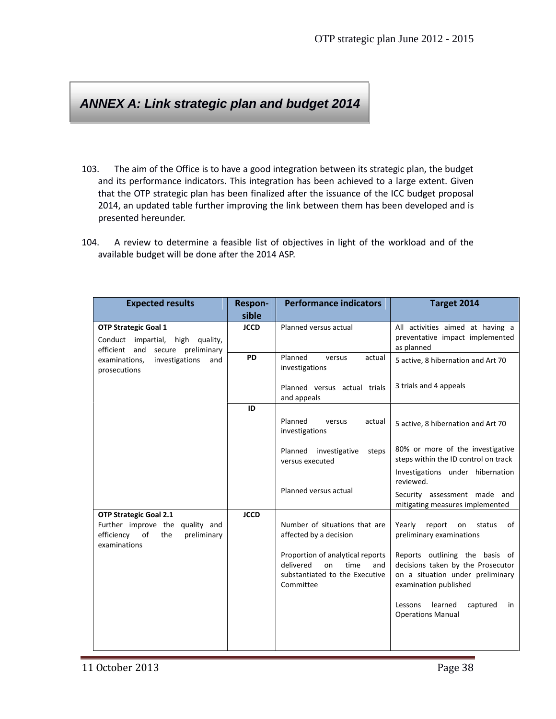# *ANNEX A: Link strategic plan and budget 2014*

- 103. The aim of the Office is to have a good integration between its strategic plan, the budget and its performance indicators. This integration has been achieved to a large extent. Given that the OTP strategic plan has been finalized after the issuance of the ICC budget proposal 2014, an updated table further improving the link between them has been developed and is presented hereunder.
- 104. A review to determine a feasible list of objectives in light of the workload and of the available budget will be done after the 2014 ASP.

| <b>Expected results</b>                                                                                                 | Respon-<br>sible | <b>Performance indicators</b>                                                                                     | Target 2014                                                                                                                      |
|-------------------------------------------------------------------------------------------------------------------------|------------------|-------------------------------------------------------------------------------------------------------------------|----------------------------------------------------------------------------------------------------------------------------------|
| <b>OTP Strategic Goal 1</b><br>Conduct impartial,<br>high quality,<br>secure preliminary<br>efficient and               | <b>JCCD</b>      | Planned versus actual                                                                                             | All activities aimed at having a<br>preventative impact implemented<br>as planned                                                |
| investigations<br>examinations,<br>and<br>prosecutions                                                                  | PD               | Planned<br>versus<br>actual<br>investigations                                                                     | 5 active, 8 hibernation and Art 70                                                                                               |
|                                                                                                                         |                  | Planned versus actual trials<br>and appeals                                                                       | 3 trials and 4 appeals                                                                                                           |
|                                                                                                                         | ID               | Planned<br>versus<br>actual<br>investigations                                                                     | 5 active, 8 hibernation and Art 70                                                                                               |
|                                                                                                                         |                  | Planned<br>investigative<br>steps<br>versus executed                                                              | 80% or more of the investigative<br>steps within the ID control on track<br>Investigations under hibernation<br>reviewed.        |
|                                                                                                                         |                  | Planned versus actual                                                                                             | Security assessment made and<br>mitigating measures implemented                                                                  |
| <b>OTP Strategic Goal 2.1</b><br>Further improve the quality and<br>efficiency of<br>the<br>preliminary<br>examinations | <b>JCCD</b>      | Number of situations that are<br>affected by a decision                                                           | Yearly<br>report<br>of<br>on<br>status<br>preliminary examinations                                                               |
|                                                                                                                         |                  | Proportion of analytical reports<br>delivered<br>time<br>on<br>and<br>substantiated to the Executive<br>Committee | Reports outlining the basis of<br>decisions taken by the Prosecutor<br>on a situation under preliminary<br>examination published |
|                                                                                                                         |                  |                                                                                                                   | Lessons<br>learned<br>captured<br>in<br><b>Operations Manual</b>                                                                 |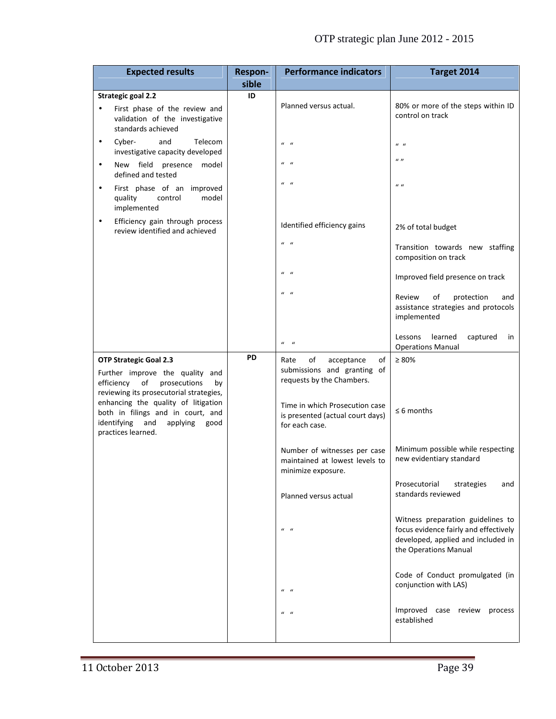| <b>Strategic goal 2.2</b><br>ID<br>Planned versus actual.<br>First phase of the review and<br>$\bullet$<br>control on track<br>validation of the investigative<br>standards achieved<br>Telecom<br>Cyber-<br>and<br>$\bullet$<br>$u - u$<br>$\boldsymbol{u}$ $\boldsymbol{u}$<br>investigative capacity developed<br>$\mathbf{u}$<br>$u - u$<br>New field presence model<br>$\bullet$<br>defined and tested<br>$\mathbf{u}$ $\mathbf{u}$<br>$\boldsymbol{u}$<br>First phase of an improved<br>$\bullet$<br>quality<br>model<br>control<br>implemented<br>Efficiency gain through process<br>$\bullet$<br>Identified efficiency gains<br>2% of total budget<br>review identified and achieved<br>$\mathbf{u}$ $\mathbf{u}$<br>composition on track<br>$\mathbf{u}$ $\mathbf{u}$<br>$\mathbf{u}$ $\mathbf{u}$<br>of<br>protection<br>Review<br>implemented<br>Lessons<br>learned<br>captured<br>$u = u$<br><b>Operations Manual</b><br>PD<br>$\geq 80\%$<br><b>OTP Strategic Goal 2.3</b><br>of<br>acceptance<br>of<br>Rate<br>submissions and granting of<br>Further improve the quality and<br>requests by the Chambers.<br>of<br>prosecutions<br>efficiency<br>by<br>reviewing its prosecutorial strategies,<br>enhancing the quality of litigation<br>Time in which Prosecution case<br>$\leq 6$ months<br>both in filings and in court, and<br>is presented (actual court days)<br>identifying and<br>applying<br>good<br>for each case.<br>practices learned.<br>Number of witnesses per case<br>new evidentiary standard<br>maintained at lowest levels to<br>minimize exposure.<br>Prosecutorial<br>strategies<br>standards reviewed<br>Planned versus actual<br>$u - u$<br>the Operations Manual | <b>Expected results</b> | <b>Respon-</b><br>sible | <b>Performance indicators</b> | Target 2014                                                                                                      |
|---------------------------------------------------------------------------------------------------------------------------------------------------------------------------------------------------------------------------------------------------------------------------------------------------------------------------------------------------------------------------------------------------------------------------------------------------------------------------------------------------------------------------------------------------------------------------------------------------------------------------------------------------------------------------------------------------------------------------------------------------------------------------------------------------------------------------------------------------------------------------------------------------------------------------------------------------------------------------------------------------------------------------------------------------------------------------------------------------------------------------------------------------------------------------------------------------------------------------------------------------------------------------------------------------------------------------------------------------------------------------------------------------------------------------------------------------------------------------------------------------------------------------------------------------------------------------------------------------------------------------------------------------------------------------------------------------------|-------------------------|-------------------------|-------------------------------|------------------------------------------------------------------------------------------------------------------|
|                                                                                                                                                                                                                                                                                                                                                                                                                                                                                                                                                                                                                                                                                                                                                                                                                                                                                                                                                                                                                                                                                                                                                                                                                                                                                                                                                                                                                                                                                                                                                                                                                                                                                                         |                         |                         |                               |                                                                                                                  |
|                                                                                                                                                                                                                                                                                                                                                                                                                                                                                                                                                                                                                                                                                                                                                                                                                                                                                                                                                                                                                                                                                                                                                                                                                                                                                                                                                                                                                                                                                                                                                                                                                                                                                                         |                         |                         |                               | 80% or more of the steps within ID                                                                               |
|                                                                                                                                                                                                                                                                                                                                                                                                                                                                                                                                                                                                                                                                                                                                                                                                                                                                                                                                                                                                                                                                                                                                                                                                                                                                                                                                                                                                                                                                                                                                                                                                                                                                                                         |                         |                         |                               |                                                                                                                  |
|                                                                                                                                                                                                                                                                                                                                                                                                                                                                                                                                                                                                                                                                                                                                                                                                                                                                                                                                                                                                                                                                                                                                                                                                                                                                                                                                                                                                                                                                                                                                                                                                                                                                                                         |                         |                         |                               |                                                                                                                  |
|                                                                                                                                                                                                                                                                                                                                                                                                                                                                                                                                                                                                                                                                                                                                                                                                                                                                                                                                                                                                                                                                                                                                                                                                                                                                                                                                                                                                                                                                                                                                                                                                                                                                                                         |                         |                         |                               |                                                                                                                  |
|                                                                                                                                                                                                                                                                                                                                                                                                                                                                                                                                                                                                                                                                                                                                                                                                                                                                                                                                                                                                                                                                                                                                                                                                                                                                                                                                                                                                                                                                                                                                                                                                                                                                                                         |                         |                         |                               |                                                                                                                  |
|                                                                                                                                                                                                                                                                                                                                                                                                                                                                                                                                                                                                                                                                                                                                                                                                                                                                                                                                                                                                                                                                                                                                                                                                                                                                                                                                                                                                                                                                                                                                                                                                                                                                                                         |                         |                         |                               | Transition towards new staffing                                                                                  |
|                                                                                                                                                                                                                                                                                                                                                                                                                                                                                                                                                                                                                                                                                                                                                                                                                                                                                                                                                                                                                                                                                                                                                                                                                                                                                                                                                                                                                                                                                                                                                                                                                                                                                                         |                         |                         |                               | Improved field presence on track                                                                                 |
|                                                                                                                                                                                                                                                                                                                                                                                                                                                                                                                                                                                                                                                                                                                                                                                                                                                                                                                                                                                                                                                                                                                                                                                                                                                                                                                                                                                                                                                                                                                                                                                                                                                                                                         |                         |                         |                               | and<br>assistance strategies and protocols                                                                       |
|                                                                                                                                                                                                                                                                                                                                                                                                                                                                                                                                                                                                                                                                                                                                                                                                                                                                                                                                                                                                                                                                                                                                                                                                                                                                                                                                                                                                                                                                                                                                                                                                                                                                                                         |                         |                         |                               | in                                                                                                               |
|                                                                                                                                                                                                                                                                                                                                                                                                                                                                                                                                                                                                                                                                                                                                                                                                                                                                                                                                                                                                                                                                                                                                                                                                                                                                                                                                                                                                                                                                                                                                                                                                                                                                                                         |                         |                         |                               | Minimum possible while respecting                                                                                |
|                                                                                                                                                                                                                                                                                                                                                                                                                                                                                                                                                                                                                                                                                                                                                                                                                                                                                                                                                                                                                                                                                                                                                                                                                                                                                                                                                                                                                                                                                                                                                                                                                                                                                                         |                         |                         |                               | and                                                                                                              |
|                                                                                                                                                                                                                                                                                                                                                                                                                                                                                                                                                                                                                                                                                                                                                                                                                                                                                                                                                                                                                                                                                                                                                                                                                                                                                                                                                                                                                                                                                                                                                                                                                                                                                                         |                         |                         |                               | Witness preparation guidelines to<br>focus evidence fairly and effectively<br>developed, applied and included in |
| conjunction with LAS)<br>$u - u$                                                                                                                                                                                                                                                                                                                                                                                                                                                                                                                                                                                                                                                                                                                                                                                                                                                                                                                                                                                                                                                                                                                                                                                                                                                                                                                                                                                                                                                                                                                                                                                                                                                                        |                         |                         |                               | Code of Conduct promulgated (in                                                                                  |
| $u - u$<br>established                                                                                                                                                                                                                                                                                                                                                                                                                                                                                                                                                                                                                                                                                                                                                                                                                                                                                                                                                                                                                                                                                                                                                                                                                                                                                                                                                                                                                                                                                                                                                                                                                                                                                  |                         |                         |                               | Improved case review process                                                                                     |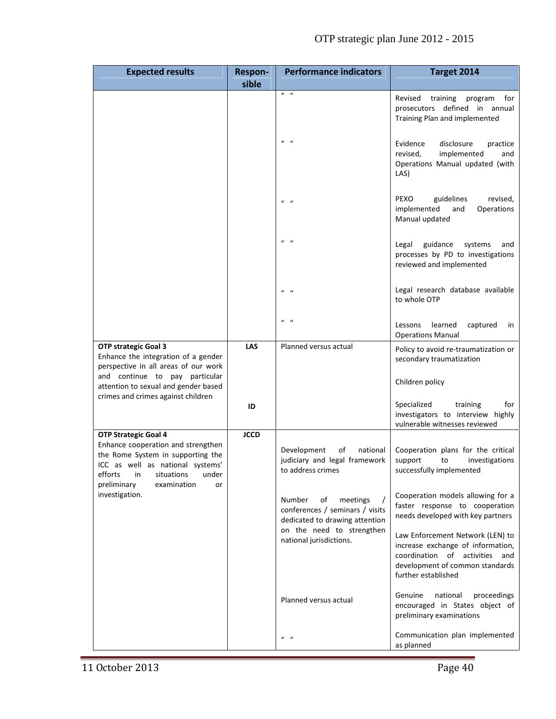| <b>Expected results</b>                                                                                                                           | <b>Respon-</b><br>sible | <b>Performance indicators</b>                                                                 | Target 2014                                                                                                                                                       |
|---------------------------------------------------------------------------------------------------------------------------------------------------|-------------------------|-----------------------------------------------------------------------------------------------|-------------------------------------------------------------------------------------------------------------------------------------------------------------------|
|                                                                                                                                                   |                         | $\overline{u}$ $\overline{u}$                                                                 | Revised training<br>program<br>for<br>prosecutors defined in annual<br>Training Plan and implemented                                                              |
|                                                                                                                                                   |                         | $u - u$                                                                                       | Evidence<br>disclosure<br>practice<br>revised,<br>implemented<br>and<br>Operations Manual updated (with<br>LAS)                                                   |
|                                                                                                                                                   |                         | $u - u$                                                                                       | PEXO<br>guidelines<br>revised,<br>Operations<br>implemented<br>and<br>Manual updated                                                                              |
|                                                                                                                                                   |                         | $u - u$                                                                                       | guidance<br>Legal<br>systems<br>and<br>processes by PD to investigations<br>reviewed and implemented                                                              |
|                                                                                                                                                   |                         | $u - u$                                                                                       | Legal research database available<br>to whole OTP                                                                                                                 |
|                                                                                                                                                   |                         | $u - u$                                                                                       | learned<br>captured<br>Lessons<br>in<br><b>Operations Manual</b>                                                                                                  |
| OTP strategic Goal 3<br>Enhance the integration of a gender<br>perspective in all areas of our work                                               | <b>LAS</b>              | Planned versus actual                                                                         | Policy to avoid re-traumatization or<br>secondary traumatization                                                                                                  |
| and continue to pay particular<br>attention to sexual and gender based                                                                            |                         |                                                                                               | Children policy                                                                                                                                                   |
| crimes and crimes against children                                                                                                                | ID                      |                                                                                               | Specialized<br>training<br>for<br>investigators to interview highly<br>vulnerable witnesses reviewed                                                              |
| <b>OTP Strategic Goal 4</b><br>Enhance cooperation and strengthen                                                                                 | <b>JCCD</b>             |                                                                                               |                                                                                                                                                                   |
| the Rome System in supporting the<br>ICC as well as national systems'<br>efforts<br>situations<br>under<br>in<br>preliminary<br>examination<br>or |                         | Development<br>of<br>national<br>judiciary and legal framework<br>to address crimes           | Cooperation plans for the critical<br>support<br>to<br>investigations<br>successfully implemented                                                                 |
| investigation.                                                                                                                                    |                         | Number<br>of<br>meetings<br>conferences / seminars / visits<br>dedicated to drawing attention | Cooperation models allowing for a<br>faster response to cooperation<br>needs developed with key partners                                                          |
|                                                                                                                                                   |                         | on the need to strengthen<br>national jurisdictions.                                          | Law Enforcement Network (LEN) to<br>increase exchange of information,<br>coordination of activities and<br>development of common standards<br>further established |
|                                                                                                                                                   |                         | Planned versus actual                                                                         | Genuine<br>proceedings<br>national<br>encouraged in States object of<br>preliminary examinations                                                                  |
|                                                                                                                                                   |                         | $u - u$                                                                                       | Communication plan implemented<br>as planned                                                                                                                      |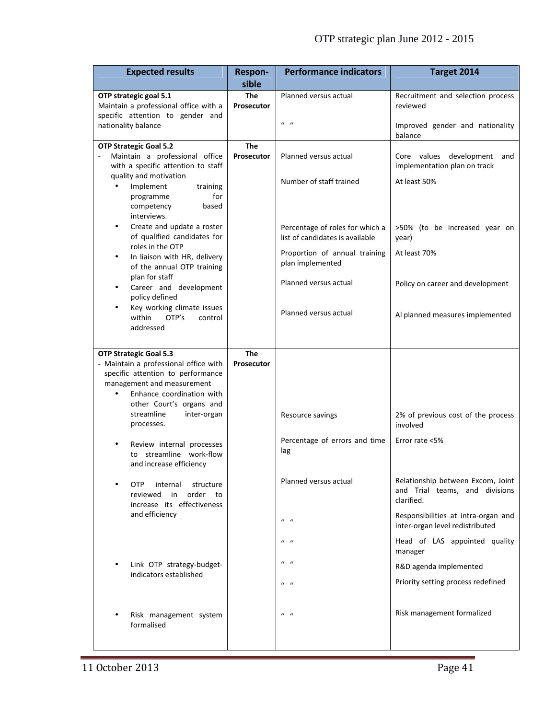| <b>Expected results</b>                                                                                                                                                                                         | <b>Respon-</b><br>sible  | <b>Performance indicators</b>                                      | Target 2014                                                                       |
|-----------------------------------------------------------------------------------------------------------------------------------------------------------------------------------------------------------------|--------------------------|--------------------------------------------------------------------|-----------------------------------------------------------------------------------|
| OTP strategic goal 5.1<br>Maintain a professional office with a<br>specific attention to gender and                                                                                                             | <b>The</b><br>Prosecutor | Planned versus actual                                              | Recruitment and selection process<br>reviewed                                     |
| nationality balance                                                                                                                                                                                             |                          | $u - u$                                                            | Improved gender and nationality<br>balance                                        |
| <b>OTP Strategic Goal 5.2</b><br>Maintain a professional office<br>with a specific attention to staff                                                                                                           | <b>The</b><br>Prosecutor | Planned versus actual                                              | Core values development<br>and<br>implementation plan on track                    |
| quality and motivation<br>Implement<br>$\bullet$<br>training<br>programme<br>for<br>competency<br>based<br>interviews.                                                                                          |                          | Number of staff trained                                            | At least 50%                                                                      |
| Create and update a roster<br>$\bullet$<br>of qualified candidates for                                                                                                                                          |                          | Percentage of roles for which a<br>list of candidates is available | >50% (to be increased year on<br>year)                                            |
| roles in the OTP<br>In liaison with HR, delivery<br>$\bullet$<br>of the annual OTP training                                                                                                                     |                          | Proportion of annual training<br>plan implemented                  | At least 70%                                                                      |
| plan for staff<br>Career and development<br>$\bullet$<br>policy defined                                                                                                                                         |                          | Planned versus actual                                              | Policy on career and development                                                  |
| Key working climate issues<br>$\bullet$<br>within<br>OTP's<br>control<br>addressed                                                                                                                              |                          | Planned versus actual                                              | Al planned measures implemented                                                   |
| <b>OTP Strategic Goal 5.3</b><br>- Maintain a professional office with<br>specific attention to performance<br>management and measurement<br>Enhance coordination with<br>$\bullet$<br>other Court's organs and | The<br>Prosecutor        |                                                                    |                                                                                   |
| streamline<br>inter-organ<br>processes.                                                                                                                                                                         |                          | Resource savings                                                   | 2% of previous cost of the process<br>involved                                    |
| Review internal processes<br>streamline work-flow<br>to<br>and increase efficiency                                                                                                                              |                          | Percentage of errors and time<br>lag                               | Error rate <5%                                                                    |
| OTP<br>internal<br>structure<br>reviewed<br>in<br>order<br>to<br>increase its effectiveness                                                                                                                     |                          | Planned versus actual                                              | Relationship between Excom, Joint<br>and Trial teams, and divisions<br>clarified. |
| and efficiency                                                                                                                                                                                                  |                          | $u - u$                                                            | Responsibilities at intra-organ and<br>inter-organ level redistributed            |
|                                                                                                                                                                                                                 |                          | $u - u$                                                            | Head of LAS appointed quality<br>manager                                          |
| Link OTP strategy-budget-<br>indicators established                                                                                                                                                             |                          | $u - u$                                                            | R&D agenda implemented                                                            |
|                                                                                                                                                                                                                 |                          | $u - u$                                                            | Priority setting process redefined                                                |
| Risk management system<br>formalised                                                                                                                                                                            |                          | $u - u$                                                            | Risk management formalized                                                        |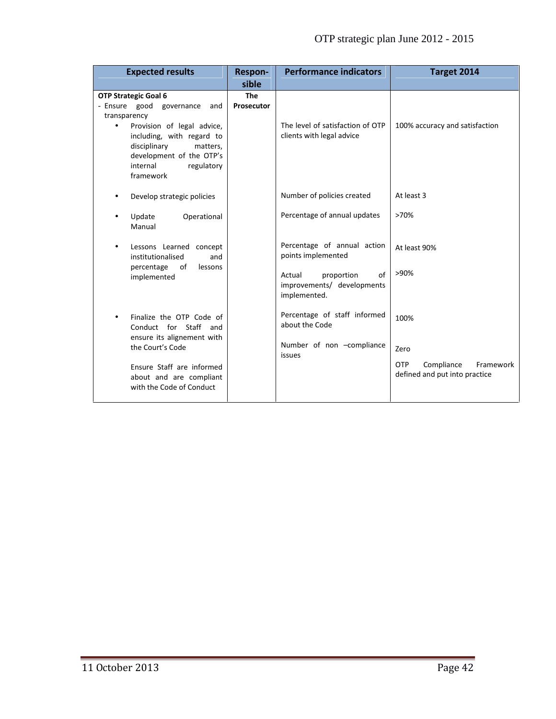| <b>Expected results</b>                                                                                                                                                                                                                               | Respon-<br>sible         | <b>Performance indicators</b>                                                                                                 | Target 2014                                                                            |
|-------------------------------------------------------------------------------------------------------------------------------------------------------------------------------------------------------------------------------------------------------|--------------------------|-------------------------------------------------------------------------------------------------------------------------------|----------------------------------------------------------------------------------------|
| <b>OTP Strategic Goal 6</b><br>- Ensure good governance<br>and<br>transparency<br>Provision of legal advice,<br>$\bullet$<br>including, with regard to<br>disciplinary<br>matters,<br>development of the OTP's<br>internal<br>regulatory<br>framework | <b>The</b><br>Prosecutor | The level of satisfaction of OTP<br>clients with legal advice                                                                 | 100% accuracy and satisfaction                                                         |
| Develop strategic policies<br>$\bullet$                                                                                                                                                                                                               |                          | Number of policies created                                                                                                    | At least 3                                                                             |
| Update<br>Operational<br>$\bullet$<br>Manual                                                                                                                                                                                                          |                          | Percentage of annual updates                                                                                                  | >70%                                                                                   |
| Lessons Learned concept<br>$\bullet$<br>institutionalised<br>and<br>percentage of<br>lessons<br>implemented                                                                                                                                           |                          | Percentage of annual action<br>points implemented<br>proportion<br>of<br>Actual<br>improvements/ developments<br>implemented. | At least 90%<br>>90%                                                                   |
| Finalize the OTP Code of<br>$\bullet$<br>Conduct for Staff<br>and<br>ensure its alignement with<br>the Court's Code<br>Ensure Staff are informed<br>about and are compliant<br>with the Code of Conduct                                               |                          | Percentage of staff informed<br>about the Code<br>Number of non -compliance<br>issues                                         | 100%<br>Zero<br><b>OTP</b><br>Compliance<br>Framework<br>defined and put into practice |